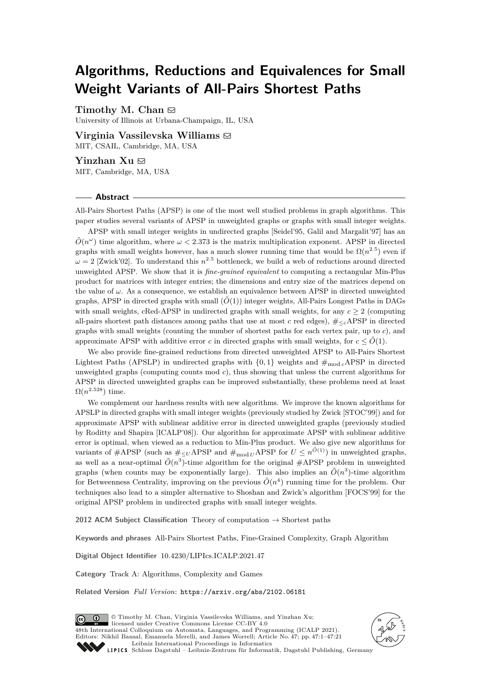# **Algorithms, Reductions and Equivalences for Small Weight Variants of All-Pairs Shortest Paths**

Timothy M. Chan  $\boxdot$ 

University of Illinois at Urbana-Champaign, IL, USA

**Virginia Vassilevska Williams** ⊠ MIT, CSAIL, Cambridge, MA, USA

**Yinzhan Xu** ⊠ MIT, Cambridge, MA, USA

#### **Abstract**

All-Pairs Shortest Paths (APSP) is one of the most well studied problems in graph algorithms. This paper studies several variants of APSP in unweighted graphs or graphs with small integer weights.

APSP with small integer weights in undirected graphs [Seidel'95, Galil and Margalit'97] has an  $\tilde{O}(n^{\omega})$  time algorithm, where  $\omega < 2.373$  is the matrix multiplication exponent. APSP in directed graphs with small weights however, has a much slower running time that would be  $\Omega(n^{2.5})$  even if  $\omega = 2$  [Zwick'02]. To understand this  $n^{2.5}$  bottleneck, we build a web of reductions around directed unweighted APSP. We show that it is *fine-grained equivalent* to computing a rectangular Min-Plus product for matrices with integer entries; the dimensions and entry size of the matrices depend on the value of  $\omega$ . As a consequence, we establish an equivalence between APSP in directed unweighted graphs, APSP in directed graphs with small  $(\tilde{O}(1))$  integer weights, All-Pairs Longest Paths in DAGs with small weights, *c*Red-APSP in undirected graphs with small weights, for any  $c \geq 2$  (computing all-pairs shortest path distances among paths that use at most *c* red edges),  $\#_{\leq c}$ APSP in directed graphs with small weights (counting the number of shortest paths for each vertex pair, up to *c*), and approximate APSP with additive error *c* in directed graphs with small weights, for  $c \leq \tilde{O}(1)$ .

We also provide fine-grained reductions from directed unweighted APSP to All-Pairs Shortest Lightest Paths (APSLP) in undirected graphs with  $\{0,1\}$  weights and  $\#_{\text{mod }c}$ APSP in directed unweighted graphs (computing counts mod *c*), thus showing that unless the current algorithms for APSP in directed unweighted graphs can be improved substantially, these problems need at least  $\Omega(n^{2.528})$  time.

We complement our hardness results with new algorithms. We improve the known algorithms for APSLP in directed graphs with small integer weights (previously studied by Zwick [STOC'99]) and for approximate APSP with sublinear additive error in directed unweighted graphs (previously studied by Roditty and Shapira [ICALP'08]). Our algorithm for approximate APSP with sublinear additive error is optimal, when viewed as a reduction to Min-Plus product. We also give new algorithms for variants of  $#APSP$  (such as  $#_{\leq U}APSP$  and  $#_{\text{mod } U}APSP$  for  $U \leq n^{\tilde{O}(1)}$ ) in unweighted graphs, as well as a near-optimal  $\tilde{O}(n^3)$ -time algorithm for the original  $\#\text{APSP}$  problem in unweighted graphs (when counts may be exponentially large). This also implies an  $\tilde{O}(n^3)$ -time algorithm for Betweenness Centrality, improving on the previous  $\tilde{O}(n^4)$  running time for the problem. Our techniques also lead to a simpler alternative to Shoshan and Zwick's algorithm [FOCS'99] for the original APSP problem in undirected graphs with small integer weights.

**2012 ACM Subject Classification** Theory of computation → Shortest paths

**Keywords and phrases** All-Pairs Shortest Paths, Fine-Grained Complexity, Graph Algorithm

**Digital Object Identifier** [10.4230/LIPIcs.ICALP.2021.47](https://doi.org/10.4230/LIPIcs.ICALP.2021.47)

**Category** Track A: Algorithms, Complexity and Games

**Related Version** *Full Version*: <https://arxiv.org/abs/2102.06181>



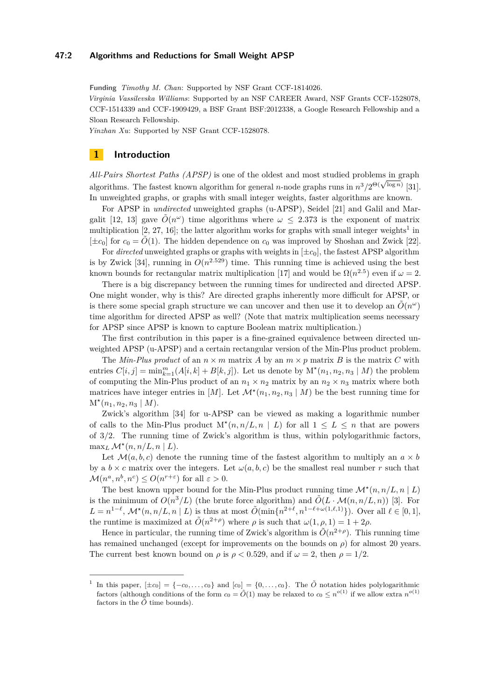## **47:2 Algorithms and Reductions for Small Weight APSP**

**Funding** *Timothy M. Chan*: Supported by NSF Grant CCF-1814026.

*Virginia Vassilevska Williams*: Supported by an NSF CAREER Award, NSF Grants CCF-1528078, CCF-1514339 and CCF-1909429, a BSF Grant BSF:2012338, a Google Research Fellowship and a Sloan Research Fellowship.

*Yinzhan Xu*: Supported by NSF Grant CCF-1528078.

# **1 Introduction**

*All-Pairs Shortest Paths (APSP)* is one of the oldest and most studied problems in graph Au-Fairs Shortest Fains (AFSF) is one of the otdest and most studied problems in graph<br>algorithms. The fastest known algorithm for general *n*-node graphs runs in  $n^3/2^{\Theta(\sqrt{\log n})}$  [\[31\]](#page-19-0). In unweighted graphs, or graphs with small integer weights, faster algorithms are known.

For APSP in *undirected* unweighted graphs (u-APSP), Seidel [\[21\]](#page-19-1) and Galil and Mar-galit [\[12,](#page-18-0) [13\]](#page-18-1) gave  $\tilde{O}(n^{\omega})$  time algorithms where  $\omega \leq 2.373$  is the exponent of matrix multiplication  $[2, 27, 16]$  $[2, 27, 16]$  $[2, 27, 16]$  $[2, 27, 16]$  $[2, 27, 16]$ ; the latter algorithm works for graphs with small integer weights<sup>[1](#page-1-0)</sup> in  $[\pm c_0]$  for  $c_0 = \tilde{O}(1)$ . The hidden dependence on  $c_0$  was improved by Shoshan and Zwick [\[22\]](#page-19-4).

For *directed* unweighted graphs or graphs with weights in  $[\pm c_0]$ , the fastest APSP algorithm is by Zwick [\[34\]](#page-20-0), running in  $O(n^{2.529})$  time. This running time is achieved using the best known bounds for rectangular matrix multiplication [\[17\]](#page-19-5) and would be  $\Omega(n^{2.5})$  even if  $\omega = 2$ .

There is a big discrepancy between the running times for undirected and directed APSP. One might wonder, why is this? Are directed graphs inherently more difficult for APSP, or is there some special graph structure we can uncover and then use it to develop an  $\tilde{O}(n^{\omega})$ time algorithm for directed APSP as well? (Note that matrix multiplication seems necessary for APSP since APSP is known to capture Boolean matrix multiplication.)

The first contribution in this paper is a fine-grained equivalence between directed unweighted APSP (u-APSP) and a certain rectangular version of the Min-Plus product problem.

The *Min-Plus product* of an  $n \times m$  matrix *A* by an  $m \times p$  matrix *B* is the matrix *C* with entries  $C[i, j] = \min_{k=1}^{m} (A[i, k] + B[k, j])$ . Let us denote by  $M^*(n_1, n_2, n_3 | M)$  the problem of computing the Min-Plus product of an  $n_1 \times n_2$  matrix by an  $n_2 \times n_3$  matrix where both matrices have integer entries in [*M*]. Let  $\mathcal{M}^*(n_1, n_2, n_3 | M)$  be the best running time for  $M^*(n_1, n_2, n_3 \mid M).$ 

Zwick's algorithm [\[34\]](#page-20-0) for u-APSP can be viewed as making a logarithmic number of calls to the Min-Plus product  $M^*(n, n/L, n \mid L)$  for all  $1 \leq L \leq n$  that are powers of 3*/*2. The running time of Zwick's algorithm is thus, within polylogarithmic factors,  $\max_{L} \mathcal{M}^{\star}(n, n/L, n | L).$ 

Let  $\mathcal{M}(a, b, c)$  denote the running time of the fastest algorithm to multiply an  $a \times b$ by a  $b \times c$  matrix over the integers. Let  $\omega(a, b, c)$  be the smallest real number *r* such that  $\mathcal{M}(n^a, n^b, n^c) \leq O(n^{r+\varepsilon})$  for all  $\varepsilon > 0$ .

The best known upper bound for the Min-Plus product running time  $\mathcal{M}^*(n, n/L, n | L)$ is the minimum of  $O(n^3/L)$  (the brute force algorithm) and  $\tilde{O}(L \cdot \mathcal{M}(n, n/L, n))$  [\[3\]](#page-18-3). For *L* =  $n^{1-\ell}$ ,  $\mathcal{M}^{\star}(n, n/L, n | L)$  is thus at most  $\tilde{O}(\min\{n^{2+\ell}, n^{1-\ell+\omega(1,\ell,1)}\})$ . Over all  $\ell \in [0,1],$ the runtime is maximized at  $\tilde{O}(n^{2+\rho})$  where  $\rho$  is such that  $\omega(1, \rho, 1) = 1 + 2\rho$ .

Hence in particular, the running time of Zwick's algorithm is  $\tilde{O}(n^{2+\rho})$ . This running time has remained unchanged (except for improvements on the bounds on *ρ*) for almost 20 years. The current best known bound on  $\rho$  is  $\rho < 0.529$ , and if  $\omega = 2$ , then  $\rho = 1/2$ .

<span id="page-1-0"></span><sup>&</sup>lt;sup>1</sup> In this paper,  $[\pm c_0] = \{-c_0, \ldots, c_0\}$  and  $[c_0] = \{0, \ldots, c_0\}$ . The  $\tilde{O}$  notation hides polylogarithmic factors (although conditions of the form  $c_0 = \tilde{O}(1)$  may be relaxed to  $c_0 \leq n^{o(1)}$  if we allow extra  $n^{o(1)}$ factors in the  $\tilde{O}$  time bounds).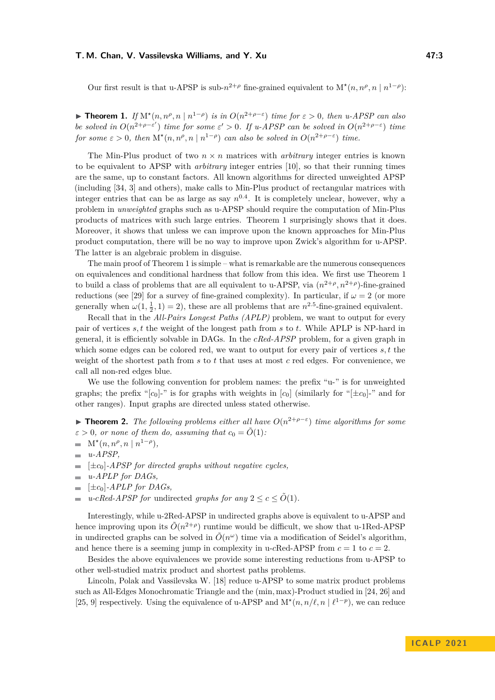Our first result is that u-APSP is sub- $n^{2+\rho}$  fine-grained equivalent to  $M^*(n, n^{\rho}, n | n^{1-\rho})$ :

<span id="page-2-0"></span>▶ **Theorem 1.** *If*  $M^*(n, n^{\rho}, n | n^{1-\rho})$  *is in*  $O(n^{2+\rho-\epsilon})$  *time for*  $\epsilon > 0$ *, then u-APSP can also be solved in*  $O(n^{2+\rho-\varepsilon'})$  *time for some*  $\varepsilon' > 0$ *. If u-APSP can be solved in*  $O(n^{2+\rho-\varepsilon})$  *time for some*  $\varepsilon > 0$ , *then*  $M^*(n, n^{\rho}, n | n^{1-\rho})$  *can also be solved in*  $O(n^{2+\rho-\varepsilon})$  *time.* 

The Min-Plus product of two  $n \times n$  matrices with *arbitrary* integer entries is known to be equivalent to APSP with *arbitrary* integer entries [\[10\]](#page-18-4), so that their running times are the same, up to constant factors. All known algorithms for directed unweighted APSP (including [\[34,](#page-20-0) [3\]](#page-18-3) and others), make calls to Min-Plus product of rectangular matrices with integer entries that can be as large as say  $n^{0.4}$ . It is completely unclear, however, why a problem in *unweighted* graphs such as u-APSP should require the computation of Min-Plus products of matrices with such large entries. Theorem [1](#page-2-0) surprisingly shows that it does. Moreover, it shows that unless we can improve upon the known approaches for Min-Plus product computation, there will be no way to improve upon Zwick's algorithm for u-APSP. The latter is an algebraic problem in disguise.

The main proof of Theorem [1](#page-2-0) is simple – what is remarkable are the numerous consequences on equivalences and conditional hardness that follow from this idea. We first use Theorem [1](#page-2-0) to build a class of problems that are all equivalent to u-APSP, via  $(n^{2+\rho}, n^{2+\rho})$ -fine-grained reductions (see [\[29\]](#page-19-6) for a survey of fine-grained complexity). In particular, if  $\omega = 2$  (or more generally when  $\omega(1, \frac{1}{2}, 1) = 2$ , these are all problems that are  $n^{2.5}$ -fine-grained equivalent.

Recall that in the *All-Pairs Longest Paths (APLP)* problem, we want to output for every pair of vertices *s, t* the weight of the longest path from *s* to *t*. While APLP is NP-hard in general, it is efficiently solvable in DAGs. In the *cRed-APSP* problem, for a given graph in which some edges can be colored red, we want to output for every pair of vertices *s, t* the weight of the shortest path from *s* to *t* that uses at most *c* red edges. For convenience, we call all non-red edges blue.

We use the following convention for problem names: the prefix "u-" is for unweighted graphs; the prefix " $[c_0]$ -" is for graphs with weights in  $[c_0]$  (similarly for " $[\pm c_0]$ -" and for other ranges). Input graphs are directed unless stated otherwise.

<span id="page-2-1"></span>**► Theorem 2.** *The following problems either all have*  $O(n^{2+\rho-\epsilon})$  *time algorithms for some*  $\varepsilon > 0$ , or none of them do, assuming that  $c_0 = \tilde{O}(1)$ :

- $M^*(n, n^{\rho}, n \mid n^{1-\rho}),$  $\sim$
- *u-APSP,*  $\overline{\phantom{a}}$
- [±*c*0]*-APSP for directed graphs without negative cycles,*
- *u-APLP for DAGs,*  $\sim$
- $[\pm c_0]$ -*APLP for DAGs*.  $\overline{\phantom{a}}$
- *u-cRed-APSP for* undirected *graphs for any*  $2 \leq c \leq \tilde{O}(1)$ *.*  $\sim$

Interestingly, while u-2Red-APSP in undirected graphs above is equivalent to u-APSP and hence improving upon its  $\tilde{O}(n^{2+\rho})$  runtime would be difficult, we show that u-1Red-APSP in undirected graphs can be solved in  $\tilde{O}(n^{\omega})$  time via a modification of Seidel's algorithm, and hence there is a seeming jump in complexity in u-*c*Red-APSP from  $c = 1$  to  $c = 2$ .

Besides the above equivalences we provide some interesting reductions from u-APSP to other well-studied matrix product and shortest paths problems.

Lincoln, Polak and Vassilevska W. [\[18\]](#page-19-7) reduce u-APSP to some matrix product problems such as All-Edges Monochromatic Triangle and the (min*,* max)-Product studied in [\[24,](#page-19-8) [26\]](#page-19-9) and [\[25,](#page-19-10) [9\]](#page-18-5) respectively. Using the equivalence of u-APSP and  $M^*(n, n/\ell, n | \ell^{1-p})$ , we can reduce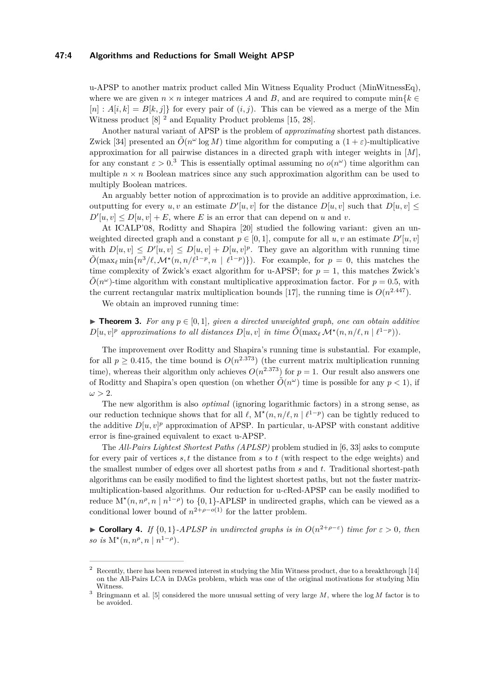## **47:4 Algorithms and Reductions for Small Weight APSP**

u-APSP to another matrix product called Min Witness Equality Product (MinWitnessEq), where we are given  $n \times n$  integer matrices A and B, and are required to compute  $\min\{k \in$  $[n]: A[i, k] = B[k, j]$  for every pair of  $(i, j)$ . This can be viewed as a merge of the Min Witness product [\[8\]](#page-18-6) <sup>[2](#page-3-0)</sup> and Equality Product problems [\[15,](#page-19-11) [28\]](#page-19-12).

Another natural variant of APSP is the problem of *approximating* shortest path distances. Zwick [\[34\]](#page-20-0) presented an  $\tilde{O}(n^{\omega} \log M)$  time algorithm for computing a  $(1+\varepsilon)$ -multiplicative approximation for all pairwise distances in a directed graph with integer weights in [*M*], for any constant  $\varepsilon > 0.3$  $\varepsilon > 0.3$  This is essentially optimal assuming no  $o(n^{\omega})$  time algorithm can multiple  $n \times n$  Boolean matrices since any such approximation algorithm can be used to multiply Boolean matrices.

An arguably better notion of approximation is to provide an additive approximation, i.e. outputting for every  $u, v$  an estimate  $D'[u, v]$  for the distance  $D[u, v]$  such that  $D[u, v] \leq$  $D'[u, v] \leq D[u, v] + E$ , where *E* is an error that can depend on *u* and *v*.

At ICALP'08, Roditty and Shapira [\[20\]](#page-19-13) studied the following variant: given an unweighted directed graph and a constant  $p \in [0, 1]$ , compute for all  $u, v$  an estimate  $D'[u, v]$ with  $D[u, v] \le D'[u, v] \le D[u, v] + D[u, v]^p$ . They gave an algorithm with running time  $\tilde{O}(\max_{\ell} \min\{n^3/\ell, \mathcal{M}^\star(n, n/\ell^{1-p}, n \mid \ell^{1-p})\})$ . For example, for  $p = 0$ , this matches the time complexity of Zwick's exact algorithm for u-APSP; for  $p = 1$ , this matches Zwick's  $\tilde{O}(n^{\omega})$ -time algorithm with constant multiplicative approximation factor. For  $p = 0.5$ , with the current rectangular matrix multiplication bounds [\[17\]](#page-19-5), the running time is  $O(n^{2.447})$ .

We obtain an improved running time:

<span id="page-3-2"></span>▶ **Theorem 3.** For any  $p \in [0,1]$ *, given a directed unweighted graph, one can obtain additive*  $D[u, v]$ <sup>*p*</sup> approximations to all distances  $D[u, v]$  *in time*  $\tilde{O}(\max_{\ell} \mathcal{M}^{\star}(n, n/\ell, n | \ell^{1-p}))$ *.* 

The improvement over Roditty and Shapira's running time is substantial. For example, for all  $p \geq 0.415$ , the time bound is  $O(n^{2.373})$  (the current matrix multiplication running time), whereas their algorithm only achieves  $O(n^{2.373})$  for  $p = 1$ . Our result also answers one of Roditty and Shapira's open question (on whether  $\tilde{O}(n^{\omega})$  time is possible for any  $p < 1$ ), if  $\omega > 2$ .

The new algorithm is also *optimal* (ignoring logarithmic factors) in a strong sense, as our reduction technique shows that for all  $\ell$ ,  $M^*(n, n/\ell, n \mid \ell^{1-p})$  can be tightly reduced to the additive  $D[u, v]^p$  approximation of APSP. In particular, u-APSP with constant additive error is fine-grained equivalent to exact u-APSP.

The *All-Pairs Lightest Shortest Paths (APLSP)* problem studied in [\[6,](#page-18-7) [33\]](#page-20-1) asks to compute for every pair of vertices *s, t* the distance from *s* to *t* (with respect to the edge weights) and the smallest number of edges over all shortest paths from *s* and *t*. Traditional shortest-path algorithms can be easily modified to find the lightest shortest paths, but not the faster matrixmultiplication-based algorithms. Our reduction for u-*c*Red-APSP can be easily modified to reduce  $M^*(n, n^{\rho}, n \mid n^{1-\rho})$  to  $\{0, 1\}$ -APLSP in undirected graphs, which can be viewed as a conditional lower bound of  $n^{2+\rho-o(1)}$  for the latter problem.

**► Corollary 4.** *If*  $\{0,1\}$ -*APLSP in undirected graphs is in*  $O(n^{2+\rho-\epsilon})$  *time for*  $\epsilon > 0$ *, then so is*  $M^*(n, n^{\rho}, n | n^{1-\rho}).$ 

<span id="page-3-0"></span><sup>2</sup> Recently, there has been renewed interest in studying the Min Witness product, due to a breakthrough [\[14\]](#page-18-8) on the All-Pairs LCA in DAGs problem, which was one of the original motivations for studying Min **Witness** 

<span id="page-3-1"></span><sup>3</sup> Bringmann et al. [\[5\]](#page-18-9) considered the more unusual setting of very large *M*, where the log *M* factor is to be avoided.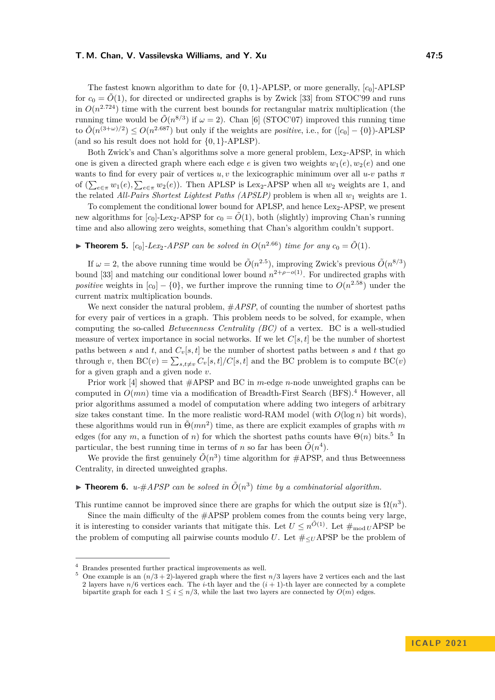The fastest known algorithm to date for  $\{0,1\}$ -APLSP, or more generally,  $[c_0]$ -APLSP for  $c_0 = \tilde{O}(1)$ , for directed or undirected graphs is by Zwick [\[33\]](#page-20-1) from STOC'99 and runs in  $O(n^{2.724})$  time with the current best bounds for rectangular matrix multiplication (the running time would be  $\tilde{O}(n^{8/3})$  if  $\omega = 2$ ). Chan [\[6\]](#page-18-7) (STOC'07) improved this running time to  $\tilde{O}(n^{(3+\omega)/2}) \leq O(n^{2.687})$  but only if the weights are *positive*, i.e., for  $([c_0] - \{0\})$ -APLSP (and so his result does not hold for {0*,* 1}-APLSP).

Both Zwick's and Chan's algorithms solve a more general problem,  $Lex_2-APSP$ , in which one is given a directed graph where each edge *e* is given two weights  $w_1(e), w_2(e)$  and one wants to find for every pair of vertices  $u, v$  the lexicographic minimum over all  $u$ - $v$  paths  $\pi$ of  $(\sum_{e \in \pi} w_1(e), \sum_{e \in \pi} w_2(e))$ . Then APLSP is Lex<sub>2</sub>-APSP when all  $w_2$  weights are 1, and the related *All-Pairs Shortest Lightest Paths (APSLP)* problem is when all *w*<sup>1</sup> weights are 1.

To complement the conditional lower bound for APLSP, and hence  $Lex_{2}-APSP$ , we present new algorithms for  $[c_0]$ -Lex<sub>2</sub>-APSP for  $c_0 = \tilde{O}(1)$ , both (slightly) improving Chan's running time and also allowing zero weights, something that Chan's algorithm couldn't support.

# $\blacktriangleright$  **Theorem 5.** [c<sub>0</sub>]-Lex<sub>2</sub>-APSP can be solved in  $O(n^{2.66})$  time for any  $c_0 = \tilde{O}(1)$ *.*

If  $\omega = 2$ , the above running time would be  $\tilde{O}(n^{2.5})$ , improving Zwick's previous  $\tilde{O}(n^{8/3})$ bound [\[33\]](#page-20-1) and matching our conditional lower bound  $n^{2+\rho-o(1)}$ . For undirected graphs with *positive* weights in  $[c_0] - \{0\}$ , we further improve the running time to  $O(n^{2.58})$  under the current matrix multiplication bounds.

We next consider the natural problem, #*APSP*, of counting the number of shortest paths for every pair of vertices in a graph. This problem needs to be solved, for example, when computing the so-called *Betweenness Centrality (BC)* of a vertex. BC is a well-studied measure of vertex importance in social networks. If we let  $C[s, t]$  be the number of shortest paths between *s* and *t*, and  $C_v[s, t]$  be the number of shortest paths between *s* and *t* that go through *v*, then  $BC(v) = \sum_{s,t \neq v} C_v[s,t]/C[s,t]$  and the BC problem is to compute  $BC(v)$ for a given graph and a given node *v*.

Prior work [\[4\]](#page-18-10) showed that #APSP and BC in *m*-edge *n*-node unweighted graphs can be computed in  $O(mn)$  time via a modification of Breadth-First Search (BFS).<sup>[4](#page-4-0)</sup> However, all prior algorithms assumed a model of computation where adding two integers of arbitrary size takes constant time. In the more realistic word-RAM model (with  $O(\log n)$ ) bit words). these algorithms would run in  $\tilde{\Theta}(mn^2)$  time, as there are explicit examples of graphs with *m* edges (for any  $m$ , a function of  $n$ ) for which the shortest paths counts have  $\Theta(n)$  bits.<sup>[5](#page-4-1)</sup> In particular, the best running time in terms of *n* so far has been  $\tilde{O}(n^4)$ .

We provide the first genuinely  $\tilde{O}(n^3)$  time algorithm for  $\#$ APSP, and thus Betweenness Centrality, in directed unweighted graphs.

<span id="page-4-2"></span>**• Theorem 6.** *u-*#APSP can be solved in  $\tilde{O}(n^3)$  time by a combinatorial algorithm.

This runtime cannot be improved since there are graphs for which the output size is  $\Omega(n^3)$ .

Since the main difficulty of the  $\#$ APSP problem comes from the counts being very large, it is interesting to consider variants that mitigate this. Let  $U \leq n^{\tilde{O}(1)}$ . Let  $\#_{\text{mod } U}$ APSP be the problem of computing all pairwise counts modulo *U*. Let  $\#_{\leq U}$ APSP be the problem of

<span id="page-4-0"></span><sup>4</sup> Brandes presented further practical improvements as well.

<span id="page-4-1"></span><sup>&</sup>lt;sup>5</sup> One example is an  $(n/3 + 2)$ -layered graph where the first  $n/3$  layers have 2 vertices each and the last 2 layers have  $n/6$  vertices each. The *i*-th layer and the  $(i + 1)$ -th layer are connected by a complete bipartite graph for each  $1 \leq i \leq n/3$ , while the last two layers are connected by  $O(m)$  edges.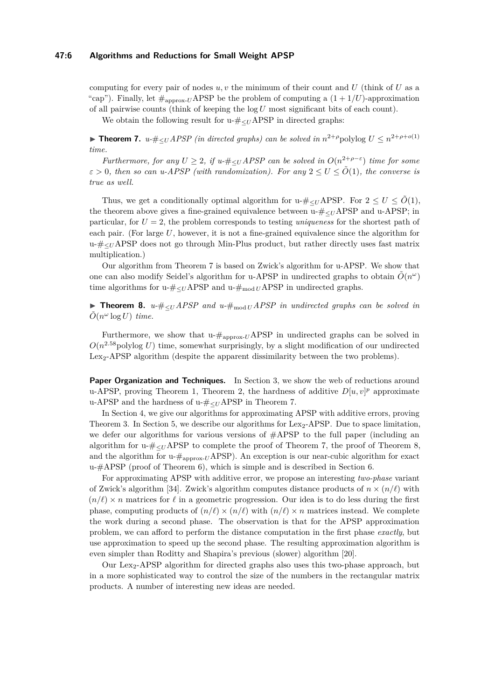## **47:6 Algorithms and Reductions for Small Weight APSP**

computing for every pair of nodes *u, v* the minimum of their count and *U* (think of *U* as a "cap"). Finally, let  $\#_{\text{approx-}U}$  APSP be the problem of computing a  $(1 + 1/U)$ -approximation of all pairwise counts (think of keeping the log *U* most significant bits of each count).

We obtain the following result for u- $\#_{\leq U}$ APSP in directed graphs:

<span id="page-5-0"></span>▶ **Theorem 7.** *u*- $\#_{\leq U}$ *APSP* (in directed graphs) can be solved in  $n^{2+\rho}$ polylog  $U \leq n^{2+\rho+o(1)}$ *time.*

*Furthermore, for any*  $U \geq 2$ , if  $u$ - $\#_{\leq U}$  *APSP can be solved in*  $O(n^{2+\rho-\epsilon})$  *time for some*  $\varepsilon > 0$ , then so can u-APSP (with randomization). For any  $2 \le U \le \tilde{O}(1)$ , the converse is *true as well.*

Thus, we get a conditionally optimal algorithm for u- $\#_{\leq U}$ APSP. For  $2 \leq U \leq \tilde{O}(1)$ , the theorem above gives a fine-grained equivalence between  $u_{\tau} \neq \angle U_{\tau}$  APSP and  $u$ -APSP; in particular, for *U* = 2, the problem corresponds to testing *uniqueness* for the shortest path of each pair. (For large U, however, it is not a fine-grained equivalence since the algorithm for u-#<sup>≤</sup>*<sup>U</sup>* APSP does not go through Min-Plus product, but rather directly uses fast matrix multiplication.)

Our algorithm from Theorem [7](#page-5-0) is based on Zwick's algorithm for u-APSP. We show that one can also modify Seidel's algorithm for u-APSP in undirected graphs to obtain  $\tilde{O}(n^{\omega})$ time algorithms for u- $\#_{\leq U}$ APSP and u- $\#_{\text{mod }U}$ APSP in undirected graphs.

<span id="page-5-1"></span>▶ **Theorem 8.** *u-*#<sup>≤</sup>*<sup>U</sup> APSP and u-*#mod *<sup>U</sup> APSP in undirected graphs can be solved in*  $ilde{O}(n^{\omega} \log U)$  *time.* 

Furthermore, we show that  $u_{\text{#approx-}U}$  APSP in undirected graphs can be solved in  $O(n^{2.58} \text{polylog } U)$  time, somewhat surprisingly, by a slight modification of our undirected Lex<sub>2</sub>-APSP algorithm (despite the apparent dissimilarity between the two problems).

**Paper Organization and Techniques.** In Section [3,](#page-6-0) we show the web of reductions around u-APSP, proving Theorem [1,](#page-2-0) Theorem [2,](#page-2-1) the hardness of additive  $D[u, v]^p$  approximate u-APSP and the hardness of u-#<sup>≤</sup>*<sup>U</sup>* APSP in Theorem [7.](#page-5-0)

In Section [4,](#page-10-0) we give our algorithms for approximating APSP with additive errors, proving Theorem [3.](#page-3-2) In Section [5,](#page-12-0) we describe our algorithms for  $Lex_{2}$ -APSP. Due to space limitation, we defer our algorithms for various versions of  $\#$ APSP to the full paper (including an algorithm for u- $\#_{\leq U}$ APSP to complete the proof of Theorem [7,](#page-5-0) the proof of Theorem [8,](#page-5-1) and the algorithm for  $u$ - $\#_{\text{approx-}U}$ APSP). An exception is our near-cubic algorithm for exact u-#APSP (proof of Theorem [6\)](#page-4-2), which is simple and is described in Section [6.](#page-17-0)

For approximating APSP with additive error, we propose an interesting *two-phase* variant of Zwick's algorithm [\[34\]](#page-20-0). Zwick's algorithm computes distance products of  $n \times (n/\ell)$  with  $(n/\ell) \times n$  matrices for  $\ell$  in a geometric progression. Our idea is to do less during the first phase, computing products of  $(n/\ell) \times (n/\ell)$  with  $(n/\ell) \times n$  matrices instead. We complete the work during a second phase. The observation is that for the APSP approximation problem, we can afford to perform the distance computation in the first phase *exactly*, but use approximation to speed up the second phase. The resulting approximation algorithm is even simpler than Roditty and Shapira's previous (slower) algorithm [\[20\]](#page-19-13).

Our Lex2-APSP algorithm for directed graphs also uses this two-phase approach, but in a more sophisticated way to control the size of the numbers in the rectangular matrix products. A number of interesting new ideas are needed.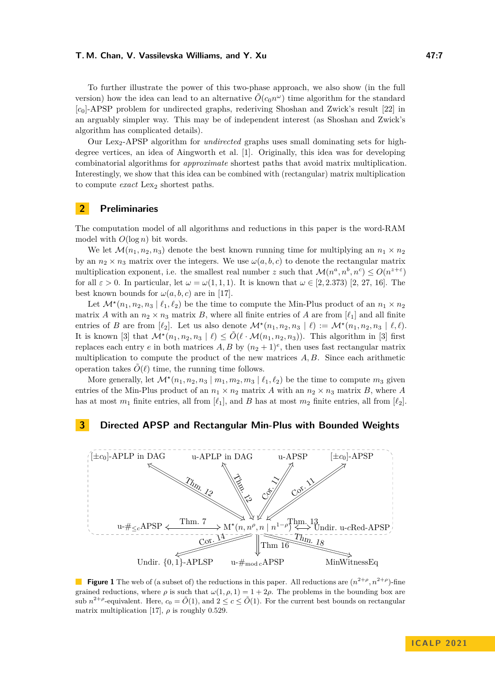To further illustrate the power of this two-phase approach, we also show (in the full version) how the idea can lead to an alternative  $\tilde{O}(c_0 n^{\omega})$  time algorithm for the standard [*c*0]-APSP problem for undirected graphs, rederiving Shoshan and Zwick's result [\[22\]](#page-19-4) in an arguably simpler way. This may be of independent interest (as Shoshan and Zwick's algorithm has complicated details).

Our Lex2-APSP algorithm for *undirected* graphs uses small dominating sets for highdegree vertices, an idea of Aingworth et al. [\[1\]](#page-18-11). Originally, this idea was for developing combinatorial algorithms for *approximate* shortest paths that avoid matrix multiplication. Interestingly, we show that this idea can be combined with (rectangular) matrix multiplication to compute *exact* Lex<sub>2</sub> shortest paths.

# **2 Preliminaries**

The computation model of all algorithms and reductions in this paper is the word-RAM model with *O*(log *n*) bit words.

We let  $\mathcal{M}(n_1, n_2, n_3)$  denote the best known running time for multiplying an  $n_1 \times n_2$ by an  $n_2 \times n_3$  matrix over the integers. We use  $\omega(a, b, c)$  to denote the rectangular matrix multiplication exponent, i.e. the smallest real number *z* such that  $\mathcal{M}(n^a, n^b, n^c) \leq O(n^{z+\epsilon})$ for all  $\varepsilon > 0$ . In particular, let  $\omega = \omega(1,1,1)$ . It is known that  $\omega \in [2,2.373)$  $\omega \in [2,2.373)$  $\omega \in [2,2.373)$  [2, [27,](#page-19-2) [16\]](#page-19-3). The best known bounds for  $\omega(a, b, c)$  are in [\[17\]](#page-19-5).

Let  $\mathcal{M}^{\star}(n_1, n_2, n_3 \mid \ell_1, \ell_2)$  be the time to compute the Min-Plus product of an  $n_1 \times n_2$ matrix *A* with an  $n_2 \times n_3$  matrix *B*, where all finite entries of *A* are from  $\lbrack \ell_1 \rbrack$  and all finite entries of *B* are from  $[\ell_2]$ . Let us also denote  $\mathcal{M}^\star(n_1, n_2, n_3 | \ell) := \mathcal{M}^\star(n_1, n_2, n_3 | \ell, \ell)$ . It is known [\[3\]](#page-18-3) that  $\mathcal{M}^\star(n_1, n_2, n_3 \mid \ell) \leq \tilde{O}(\ell \cdot \mathcal{M}(n_1, n_2, n_3))$ . This algorithm in [3] first replaces each entry *e* in both matrices  $A, B$  by  $(n_2 + 1)^e$ , then uses fast rectangular matrix multiplication to compute the product of the new matrices *A, B*. Since each arithmetic operation takes  $\tilde{O}(\ell)$  time, the running time follows.

More generally, let  $\mathcal{M}^\star(n_1, n_2, n_3 \mid m_1, m_2, m_3 \mid \ell_1, \ell_2)$  be the time to compute  $m_3$  given entries of the Min-Plus product of an  $n_1 \times n_2$  matrix *A* with an  $n_2 \times n_3$  matrix *B*, where *A* has at most  $m_1$  finite entries, all from  $[\ell_1]$ , and *B* has at most  $m_2$  finite entries, all from  $[\ell_2]$ .

# <span id="page-6-0"></span>**3 Directed APSP and Rectangular Min-Plus with Bounded Weights**



**Figure 1** The web of (a subset of) the reductions in this paper. All reductions are  $(n^{2+\rho}, n^{2+\rho})$ -fine grained reductions, where  $\rho$  is such that  $\omega(1, \rho, 1) = 1 + 2\rho$ . The problems in the bounding box are sub  $n^{2+\rho}$ -equivalent. Here,  $c_0 = \tilde{O}(1)$ , and  $2 \leq c \leq \tilde{O}(1)$ . For the current best bounds on rectangular matrix multiplication [\[17\]](#page-19-5),  $\rho$  is roughly 0.529.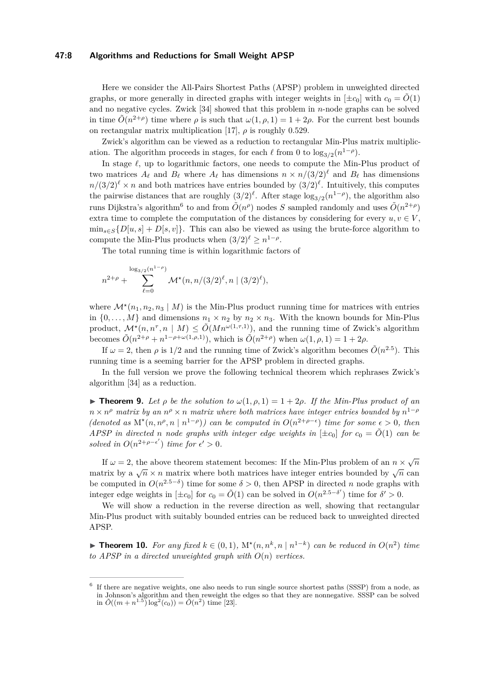## **47:8 Algorithms and Reductions for Small Weight APSP**

Here we consider the All-Pairs Shortest Paths (APSP) problem in unweighted directed graphs, or more generally in directed graphs with integer weights in  $[\pm c_0]$  with  $c_0 = \tilde{O}(1)$ and no negative cycles. Zwick [\[34\]](#page-20-0) showed that this problem in *n*-node graphs can be solved in time  $\tilde{O}(n^{2+\rho})$  time where  $\rho$  is such that  $\omega(1,\rho,1) = 1 + 2\rho$ . For the current best bounds on rectangular matrix multiplication [\[17\]](#page-19-5),  $\rho$  is roughly 0.529.

Zwick's algorithm can be viewed as a reduction to rectangular Min-Plus matrix multiplication. The algorithm proceeds in stages, for each  $\ell$  from 0 to  $\log_{3/2}(n^{1-\rho})$ .

In stage *ℓ*, up to logarithmic factors, one needs to compute the Min-Plus product of two matrices  $A_\ell$  and  $B_\ell$  where  $A_\ell$  has dimensions  $n \times n/(3/2)^\ell$  and  $B_\ell$  has dimensions  $n/(3/2)^{\ell} \times n$  and both matrices have entries bounded by  $(3/2)^{\ell}$ . Intuitively, this computes the pairwise distances that are roughly  $(3/2)^{\ell}$ . After stage  $\log_{3/2}(n^{1-\rho})$ , the algorithm also runs Dijkstra's algorithm<sup>[6](#page-7-0)</sup> to and from  $\tilde{O}(n^{\rho})$  nodes *S* sampled randomly and uses  $\tilde{O}(n^{2+\rho})$ extra time to complete the computation of the distances by considering for every  $u, v \in V$ ,  $\min_{s \in S} \{D[u, s] + D[s, v]\}.$  This can also be viewed as using the brute-force algorithm to compute the Min-Plus products when  $(3/2)^{\ell} \geq n^{1-\rho}$ .

The total running time is within logarithmic factors of

$$
n^{2+\rho} + \sum_{\ell=0}^{\log_{3/2}(n^{1-\rho})} \mathcal{M}^{\star}(n, n/(3/2)^{\ell}, n \mid (3/2)^{\ell}),
$$

where  $\mathcal{M}^*(n_1, n_2, n_3 \mid M)$  is the Min-Plus product running time for matrices with entries in  $\{0, \ldots, M\}$  and dimensions  $n_1 \times n_2$  by  $n_2 \times n_3$ . With the known bounds for Min-Plus product,  $\mathcal{M}^*(n, n^{\tau}, n \mid M) \leq \tilde{O}(Mn^{\omega(1,\tau,1)}),$  and the running time of Zwick's algorithm becomes  $\tilde{O}(n^{2+\rho} + n^{1-\rho+\omega(1,\rho,1)}),$  which is  $\tilde{O}(n^{2+\rho})$  when  $\omega(1,\rho,1) = 1+2\rho$ .

If  $\omega = 2$ , then  $\rho$  is 1/2 and the running time of Zwick's algorithm becomes  $\tilde{O}(n^{2.5})$ . This running time is a seeming barrier for the APSP problem in directed graphs.

In the full version we prove the following technical theorem which rephrases Zwick's algorithm [\[34\]](#page-20-0) as a reduction.

<span id="page-7-1"></span> $\triangleright$  **Theorem 9.** Let  $\rho$  be the solution to  $\omega(1,\rho,1) = 1 + 2\rho$ . If the Min-Plus product of an  $n \times n^{\rho}$  *matrix by an*  $n^{\rho} \times n$  *matrix where both matrices have integer entries bounded by*  $n^{1-\rho}$  $(denoted as M^*(n, n^{\rho}, n | n^{1-\rho})) can be computed in  $O(n^{2+\rho-\epsilon})$  time for some  $\epsilon > 0$ , then$ *APSP in directed n node* graphs with integer edge weights in  $[\pm c_0]$  for  $c_0 = \tilde{O}(1)$  *can be solved in*  $O(n^{2+\rho-\epsilon'})$  *time for*  $\epsilon' > 0$ *.* 

If  $\omega = 2$ , the above theorem statement becomes: If the Min-Plus problem of an  $n \times \sqrt{n}$  $n \in \mathbb{Z}$ , the above theorem statement becomes. If the Nin-1 its problem of an  $n \times \sqrt{n}$  can<br>matrix by a  $\sqrt{n} \times n$  matrix where both matrices have integer entries bounded by  $\sqrt{n}$  can be computed in  $O(n^{2.5-\delta})$  time for some  $\delta > 0$ , then APSP in directed *n* node graphs with integer edge weights in  $[\pm c_0]$  for  $c_0 = \tilde{O}(1)$  can be solved in  $O(n^{2.5-\delta'})$  time for  $\delta' > 0$ .

We will show a reduction in the reverse direction as well, showing that rectangular Min-Plus product with suitably bounded entries can be reduced back to unweighted directed APSP.

<span id="page-7-2"></span>▶ **Theorem 10.** For any fixed  $k \in (0,1)$ ,  $M^*(n,n^k,n | n^{1-k})$  can be reduced in  $O(n^2)$  time *to APSP in a directed unweighted graph with*  $O(n)$  *vertices.* 

<span id="page-7-0"></span><sup>&</sup>lt;sup>6</sup> If there are negative weights, one also needs to run single source shortest paths (SSSP) from a node, as in Johnson's algorithm and then reweight the edges so that they are nonnegative. SSSP can be solved  $\tilde{O}((m+n^{1.5})\log^2(c_0)) = \tilde{O}(n^2)$  time [\[23\]](#page-19-14).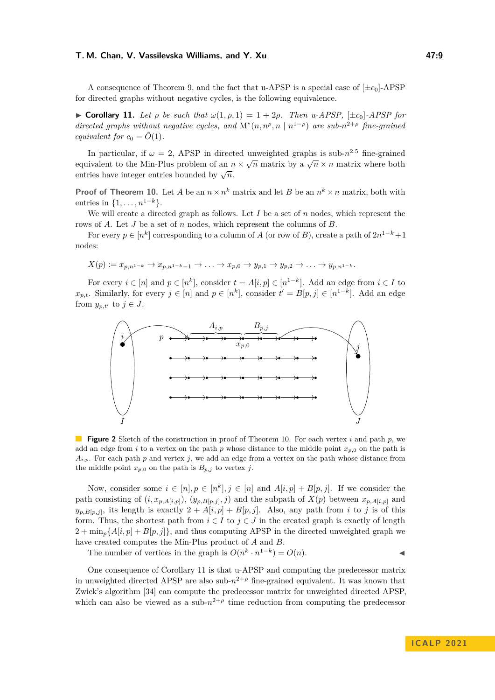A consequence of Theorem [9,](#page-7-1) and the fact that u-APSP is a special case of  $[\pm c_0]$ -APSP for directed graphs without negative cycles, is the following equivalence.

<span id="page-8-0"></span>▶ **Corollary 11.** *Let ρ be such that ω*(1*, ρ,* 1) = 1 + 2*ρ. Then u-APSP,* [±*c*0]*-APSP for directed graphs without negative cycles, and*  $M^*(n, n^{\rho}, n | n^{1-\rho})$  *are sub-* $n^{2+\rho}$  *fine-grained equivalent for*  $c_0 = \tilde{O}(1)$ .

In particular, if  $\omega = 2$ , APSP in directed unweighted graphs is sub- $n^{2.5}$  fine-grained equivalent to the Min-Plus problem of an  $n \times \sqrt{n}$  matrix by a  $\sqrt{n} \times n$  matrix where both entries have integer entries bounded by  $\sqrt{n}$ .

**Proof of Theorem [10.](#page-7-2)** Let *A* be an  $n \times n^k$  matrix and let *B* be an  $n^k \times n$  matrix, both with entries in  $\{1, \ldots, n^{1-k}\}.$ 

We will create a directed graph as follows. Let *I* be a set of *n* nodes, which represent the rows of *A*. Let *J* be a set of *n* nodes, which represent the columns of *B*.

For every  $p \in [n^k]$  corresponding to a column of *A* (or row of *B*), create a path of  $2n^{1-k}+1$ nodes:

$$
X(p) := x_{p,n^{1-k}} \to x_{p,n^{1-k}-1} \to \dots \to x_{p,0} \to y_{p,1} \to y_{p,2} \to \dots \to y_{p,n^{1-k}}.
$$

For every  $i \in [n]$  and  $p \in [n^k]$ , consider  $t = A[i, p] \in [n^{1-k}]$ . Add an edge from  $i \in I$  to *x*<sub>*p*,*t*</sub>. Similarly, for every *j* ∈ [*n*] and *p* ∈ [*n*<sup>*k*</sup>], consider *t*<sup> $′$ </sup> = *B*[*p*, *j*] ∈ [*n*<sup>1−*k*</sup>]. Add an edge from  $y_{p,t'}$  to  $j \in J$ .



**Figure 2** Sketch of the construction in proof of Theorem [10.](#page-7-2) For each vertex *i* and path *p*, we add an edge from *i* to a vertex on the path *p* whose distance to the middle point  $x_{p,0}$  on the path is  $A_{i,p}$ . For each path *p* and vertex *j*, we add an edge from a vertex on the path whose distance from the middle point  $x_{p,0}$  on the path is  $B_{p,j}$  to vertex *j*.

Now, consider some  $i \in [n], p \in [n^k], j \in [n]$  and  $A[i, p] + B[p, j]$ . If we consider the path consisting of  $(i, x_{p,A[i,p]})$ ,  $(y_{p,B[p,j]}, j)$  and the subpath of  $X(p)$  between  $x_{p,A[i,p]}$  and  $y_{p,B[p,j]}$ , its length is exactly  $2 + A[i,p] + B[p,j]$ . Also, any path from *i* to *j* is of this form. Thus, the shortest path from  $i \in I$  to  $j \in J$  in the created graph is exactly of length  $2 + \min_{p} \{A[i, p] + B[p, j]\}$ , and thus computing APSP in the directed unweighted graph we have created computes the Min-Plus product of *A* and *B*.

The number of vertices in the graph is  $O(n^k \cdot n^{1-k}) = O(n)$ .

One consequence of Corollary [11](#page-8-0) is that u-APSP and computing the predecessor matrix in unweighted directed APSP are also sub- $n^{2+\rho}$  fine-grained equivalent. It was known that Zwick's algorithm [\[34\]](#page-20-0) can compute the predecessor matrix for unweighted directed APSP, which can also be viewed as a sub- $n^{2+\rho}$  time reduction from computing the predecessor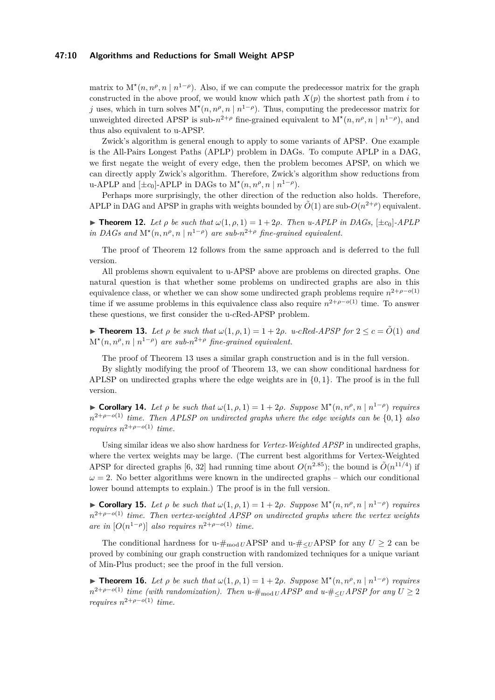## **47:10 Algorithms and Reductions for Small Weight APSP**

matrix to  $M^*(n, n^{\rho}, n \mid n^{1-\rho})$ . Also, if we can compute the predecessor matrix for the graph constructed in the above proof, we would know which path  $X(p)$  the shortest path from *i* to *j* uses, which in turn solves  $M^*(n, n^{\rho}, n | n^{1-\rho})$ . Thus, computing the predecessor matrix for unweighted directed APSP is sub- $n^{2+\rho}$  fine-grained equivalent to  $M^*(n, n^{\rho}, n | n^{1-\rho})$ , and thus also equivalent to u-APSP.

Zwick's algorithm is general enough to apply to some variants of APSP. One example is the All-Pairs Longest Paths (APLP) problem in DAGs. To compute APLP in a DAG, we first negate the weight of every edge, then the problem becomes APSP, on which we can directly apply Zwick's algorithm. Therefore, Zwick's algorithm show reductions from u-APLP and  $[\pm c_0]$ -APLP in DAGs to  $M^*(n, n^{\rho}, n \mid n^{1-\rho})$ .

Perhaps more surprisingly, the other direction of the reduction also holds. Therefore, APLP in DAG and APSP in graphs with weights bounded by  $\tilde{O}(1)$  are sub- $O(n^{2+\rho})$  equivalent.

<span id="page-9-3"></span> $\blacktriangleright$  **Theorem 12.** Let  $\rho$  be such that  $\omega(1, \rho, 1) = 1 + 2\rho$ . Then u-APLP in DAGs,  $[\pm c_0]$ -APLP *in DAGs and*  $M^*(n, n^{\rho}, n | n^{1-\rho})$  *are sub-* $n^{2+\rho}$  *fine-grained equivalent.* 

The proof of Theorem [12](#page-9-3) follows from the same approach and is deferred to the full version.

All problems shown equivalent to u-APSP above are problems on directed graphs. One natural question is that whether some problems on undirected graphs are also in this equivalence class, or whether we can show some undirected graph problems require  $n^{2+\rho-o(1)}$ time if we assume problems in this equivalence class also require  $n^{2+\rho-o(1)}$  time. To answer these questions, we first consider the u-*c*Red-APSP problem.

<span id="page-9-0"></span>▶ **Theorem 13.** Let  $\rho$  be such that  $\omega(1, \rho, 1) = 1 + 2\rho$ . u-cRed-APSP for  $2 \leq c = O(1)$  and  $M^{\star}(n, n^{\rho}, n \mid n^{1-\rho})$  are sub- $n^{2+\rho}$  fine-grained equivalent.

The proof of Theorem [13](#page-9-0) uses a similar graph construction and is in the full version.

By slightly modifying the proof of Theorem [13,](#page-9-0) we can show conditional hardness for APLSP on undirected graphs where the edge weights are in {0*,* 1}. The proof is in the full version.

<span id="page-9-1"></span>▶ **Corollary 14.** Let  $\rho$  be such that  $\omega(1, \rho, 1) = 1 + 2\rho$ . Suppose  $\mathcal{M}^*(n, n^{\rho}, n | n^{1-\rho})$  requires *n* 2+*ρ*−*o*(1) *time. Then APLSP on undirected graphs where the edge weights can be* {0*,* 1} *also requires*  $n^{2+\rho-o(1)}$  *time.* 

Using similar ideas we also show hardness for *Vertex-Weighted APSP* in undirected graphs, where the vertex weights may be large. (The current best algorithms for Vertex-Weighted APSP for directed graphs [\[6,](#page-18-7) [32\]](#page-19-15) had running time about  $O(n^{2.85})$ ; the bound is  $\tilde{O}(n^{11/4})$  if  $\omega = 2$ . No better algorithms were known in the undirected graphs – which our conditional lower bound attempts to explain.) The proof is in the full version.

▶ **Corollary 15.** Let  $\rho$  be such that  $\omega(1, \rho, 1) = 1 + 2\rho$ . Suppose  $\mathbb{M}^*(n, n^{\rho}, n | n^{1-\rho})$  requires *n*<sup>2+*ρ*−*o*(1) *time. Then vertex-weighted APSP on undirected graphs where the vertex weights*</sup> *are in*  $[O(n^{1-\rho})]$  *also requires*  $n^{2+\rho-o(1)}$  *time.* 

The conditional hardness for u- $\#_{mod~U}$ APSP and u- $\#_{\leq U}$ APSP for any  $U > 2$  can be proved by combining our graph construction with randomized techniques for a unique variant of Min-Plus product; see the proof in the full version.

<span id="page-9-2"></span>▶ **Theorem 16.** Let  $\rho$  be such that  $\omega(1, \rho, 1) = 1 + 2\rho$ . Suppose  $M^*(n, n^{\rho}, n | n^{1-\rho})$  requires  $n^{2+\rho-o(1)}$  *time (with randomization). Then u-*#<sub>mod *U*</sub> *APSP* and u-#<sub>≤</sub>*U APSP* for any  $U ">= 2$ *requires*  $n^{2+\rho-o(1)}$  *time.*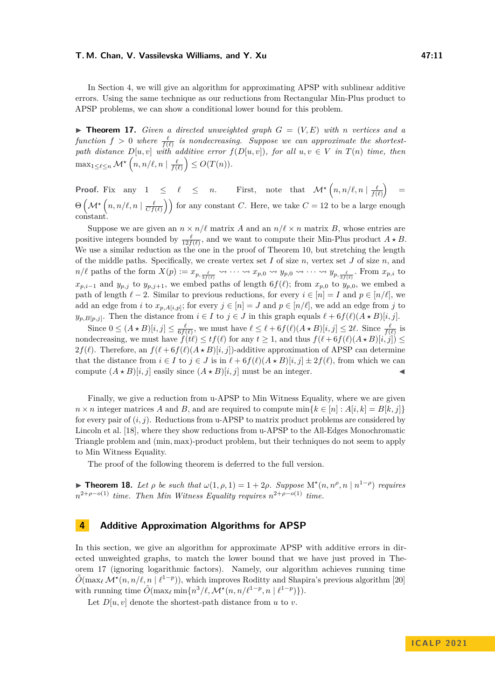In Section [4,](#page-10-0) we will give an algorithm for approximating APSP with sublinear additive errors. Using the same technique as our reductions from Rectangular Min-Plus product to APSP problems, we can show a conditional lower bound for this problem.

<span id="page-10-2"></span> $\triangleright$  **Theorem 17.** *Given a directed unweighted graph*  $G = (V, E)$  *with n vertices and a*  $function f > 0$  where  $\frac{\ell}{f(\ell)}$  is nondecreasing. Suppose we can approximate the shortest*path distance*  $D[u, v]$  *with additive error*  $f(D[u, v])$ *, for all*  $u, v \in V$  *in*  $T(n)$  *time, then*  $\max_{1 \leq \ell \leq n} \mathcal{M}^{\star} \left( n, n/\ell, n \mid \frac{\ell}{f(\ell)} \right) \leq O(T(n)).$ 

**Proof.** Fix any  $1 \leq \ell \leq n$ . First, note that  $\mathcal{M} \star (n, n/\ell, n | \frac{\ell}{f(\ell)}) =$  $\Theta\left(\mathcal{M}^{\star}\left(n,n/\ell,n\mid \frac{\ell}{Cf(\ell)}\right)\right)$  for any constant *C*. Here, we take  $C=12$  to be a large enough constant.

Suppose we are given an  $n \times n/\ell$  matrix *A* and an  $n/\ell \times n$  matrix *B*, whose entries are positive integers bounded by  $\frac{\ell}{12f(\ell)}$ , and we want to compute their Min-Plus product  $A \star B$ . We use a similar reduction as the one in the proof of Theorem [10,](#page-7-2) but stretching the length of the middle paths. Specifically, we create vertex set *I* of size *n*, vertex set *J* of size *n*, and  $n/\ell$  paths of the form  $X(p) := x_{p, \frac{\ell}{3f(\ell)}} \leadsto \cdots \leadsto x_{p,0} \leadsto y_{p,0} \leadsto \cdots \leadsto y_{p, \frac{\ell}{3f(\ell)}}$ . From  $x_{p,i}$  to *x*<sup>*p*</sup>,*i*−1 and *y*<sup>*p*</sup>,*j* to *y*<sub>*p*</sub>,*j*+1, we embed paths of length 6*f*( $ℓ$ ); from *x*<sub>*p*</sub>,0 to *y*<sub>*p*</sub>,0, we embed a path of length  $\ell - 2$ . Similar to previous reductions, for every  $i \in [n] = I$  and  $p \in [n/\ell]$ , we add an edge from *i* to  $x_{p,A[i,p]}$ ; for every  $j \in [n] = J$  and  $p \in [n/\ell]$ , we add an edge from *j* to  $y_{p,B[p,j]}$ . Then the distance from  $i \in I$  to  $j \in J$  in this graph equals  $\ell + 6f(\ell)(A \star B)[i, j]$ .

Since  $0 \leq (A \star B)[i, j] \leq \frac{\ell}{6f(\ell)}$ , we must have  $\ell \leq \ell + 6f(\ell)(A \star B)[i, j] \leq 2\ell$ . Since  $\frac{\ell}{f(\ell)}$  is nondecreasing, we must have  $f(t\ell) \leq tf(\ell)$  for any  $t \geq 1$ , and thus  $f(\ell + 6f(\ell)(A \star B)[i, j]) \leq$  $2f(\ell)$ . Therefore, an  $f(\ell+6f(\ell)(A \star B)[i, j])$ -additive approximation of APSP can determine that the distance from  $i \in I$  to  $j \in J$  is in  $\ell + 6f(\ell)(A \star B)[i, j] \pm 2f(\ell)$ , from which we can compute  $(A \star B)[i, j]$  easily since  $(A \star B)[i, j]$  must be an integer.

Finally, we give a reduction from u-APSP to Min Witness Equality, where we are given  $n \times n$  integer matrices *A* and *B*, and are required to compute min{ $k \in [n]$  :  $A[i, k] = B[k, j]$ } for every pair of (*i, j*). Reductions from u-APSP to matrix product problems are considered by Lincoln et al. [\[18\]](#page-19-7), where they show reductions from u-APSP to the All-Edges Monochromatic Triangle problem and (min*,* max)-product problem, but their techniques do not seem to apply to Min Witness Equality.

The proof of the following theorem is deferred to the full version.

<span id="page-10-1"></span>▶ **Theorem 18.** Let  $\rho$  be such that  $\omega(1, \rho, 1) = 1 + 2\rho$ . Suppose  $M^*(n, n^{\rho}, n | n^{1-\rho})$  requires  $n^{2+\rho-o(1)}$  *time. Then Min Witness Equality requires*  $n^{2+\rho-o(1)}$  *time.* 

# <span id="page-10-0"></span>**4 Additive Approximation Algorithms for APSP**

In this section, we give an algorithm for approximate APSP with additive errors in directed unweighted graphs, to match the lower bound that we have just proved in Theorem [17](#page-10-2) (ignoring logarithmic factors). Namely, our algorithm achieves running time  $\tilde{O}(\max_{\ell} \mathcal{M}^*(n, n/\ell, n \mid \ell^{1-p}))$ , which improves Roditty and Shapira's previous algorithm [\[20\]](#page-19-13) with running time  $\tilde{O}(\max_{\ell} \min\{n^3/\ell, \mathcal{M}^{\star}(n, n/\ell^{1-p}, n \mid \ell^{1-p})\}).$ 

Let  $D[u, v]$  denote the shortest-path distance from  $u$  to  $v$ .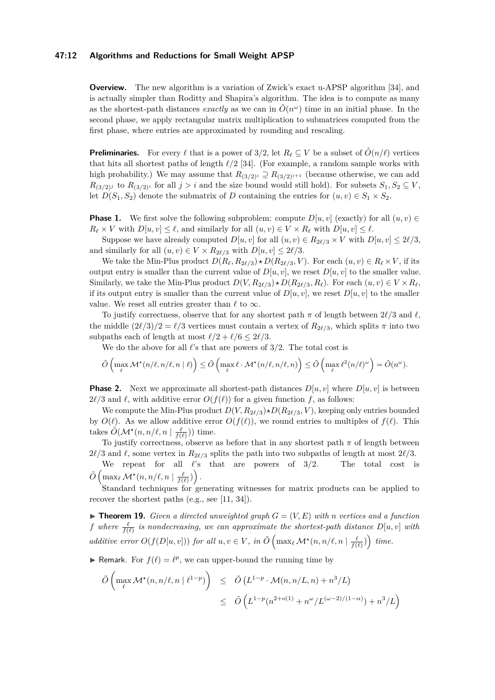## **47:12 Algorithms and Reductions for Small Weight APSP**

**Overview.** The new algorithm is a variation of Zwick's exact u-APSP algorithm [\[34\]](#page-20-0), and is actually simpler than Roditty and Shapira's algorithm. The idea is to compute as many as the shortest-path distances *exactly* as we can in  $\tilde{O}(n^{\omega})$  time in an initial phase. In the second phase, we apply rectangular matrix multiplication to submatrices computed from the first phase, where entries are approximated by rounding and rescaling.

**Preliminaries.** For every  $\ell$  that is a power of 3/2, let  $R_{\ell} \subseteq V$  be a subset of  $O(n/\ell)$  vertices that hits all shortest paths of length *ℓ/*2 [\[34\]](#page-20-0). (For example, a random sample works with high probability.) We may assume that  $R_{(3/2)^i} \supseteq R_{(3/2)^{i+1}}$  (because otherwise, we can add  $R_{(3/2)^j}$  to  $R_{(3/2)^i}$  for all  $j > i$  and the size bound would still hold). For subsets  $S_1, S_2 \subseteq V$ , let  $D(S_1, S_2)$  denote the submatrix of *D* containing the entries for  $(u, v) \in S_1 \times S_2$ .

**Phase 1.** We first solve the following subproblem: compute  $D[u, v]$  (exactly) for all  $(u, v) \in$  $R_{\ell} \times V$  with  $D[u, v] \leq \ell$ , and similarly for all  $(u, v) \in V \times R_{\ell}$  with  $D[u, v] \leq \ell$ .

Suppose we have already computed  $D[u, v]$  for all  $(u, v) \in R_{2\ell/3} \times V$  with  $D[u, v] \leq 2\ell/3$ , and similarly for all  $(u, v) \in V \times R_{2\ell/3}$  with  $D[u, v] \leq 2\ell/3$ .

We take the Min-Plus product  $D(R_\ell, R_{2\ell/3}) \star D(R_{2\ell/3}, V)$ . For each  $(u, v) \in R_\ell \times V$ , if its output entry is smaller than the current value of  $D[u, v]$ , we reset  $D[u, v]$  to the smaller value. Similarly, we take the Min-Plus product  $D(V, R_{2\ell/3}) \star D(R_{2\ell/3}, R_\ell)$ . For each  $(u, v) \in V \times R_\ell$ , if its output entry is smaller than the current value of  $D[u, v]$ , we reset  $D[u, v]$  to the smaller value. We reset all entries greater than  $\ell$  to  $\infty$ .

To justify correctness, observe that for any shortest path *π* of length between 2*ℓ/*3 and *ℓ*, the middle  $(2\ell/3)/2 = \ell/3$  vertices must contain a vertex of  $R_{2\ell/3}$ , which splits  $\pi$  into two subpaths each of length at most  $\ell/2 + \ell/6 \leq 2\ell/3$ .

We do the above for all *ℓ*'s that are powers of 3*/*2. The total cost is

$$
\tilde{O}\left(\max_{\ell} \mathcal{M}^{\star}(n/\ell,n/\ell,n|\ell)\right) \leq \tilde{O}\left(\max_{\ell} \ell \cdot \mathcal{M}^{\star}(n/\ell,n/\ell,n)\right) \leq \tilde{O}\left(\max_{\ell} \ell^{2}(n/\ell)^{\omega}\right) = \tilde{O}(n^{\omega}).
$$

**Phase 2.** Next we approximate all shortest-path distances  $D[u, v]$  where  $D[u, v]$  is between  $2\ell/3$  and  $\ell$ , with additive error  $O(f(\ell))$  for a given function  $f$ , as follows:

We compute the Min-Plus product  $D(V, R_{2\ell/3}) \star D(R_{2\ell/3}, V)$ , keeping only entries bounded by  $O(\ell)$ . As we allow additive error  $O(f(\ell))$ , we round entries to multiples of  $f(\ell)$ . This takes  $\tilde{O}(\mathcal{M}^\star(n, n/\ell, n \mid \frac{\ell}{f(\ell)}))$  time.

To justify correctness, observe as before that in any shortest path  $\pi$  of length between  $2\ell/3$  and  $\ell$ , some vertex in  $R_{2\ell/3}$  splits the path into two subpaths of length at most  $2\ell/3$ .

We repeat for all *ℓ*'s that are powers of 3*/*2. The total cost is  $\tilde{O}\left(\max_{\ell} \mathcal{M}^\star(n,n/\ell,n \mid \frac{\ell}{f(\ell)})\right).$ 

Standard techniques for generating witnesses for matrix products can be applied to recover the shortest paths (e.g., see [\[11,](#page-18-12) [34\]](#page-20-0)).

 $\blacktriangleright$  **Theorem 19.** *Given a directed unweighted graph*  $G = (V, E)$  *with n vertices and a function f* where  $\frac{\ell}{f(\ell)}$  is nondecreasing, we can approximate the shortest-path distance  $D[u, v]$  with *additive error*  $O(f(D[u, v]))$  *for all*  $u, v \in V$ *, in*  $\tilde{O}(\max_{\ell} \mathcal{M}^*(n, n/\ell, n | \frac{\ell}{f(\ell)}) )$  *time.* 

**► Remark.** For  $f(\ell) = \ell^p$ , we can upper-bound the running time by

$$
\tilde{O}\left(\max_{\ell} \mathcal{M}^*(n, n/\ell, n \mid \ell^{1-p})\right) \leq \tilde{O}\left(L^{1-p} \cdot \mathcal{M}(n, n/L, n) + n^3/L\right)
$$
\n
$$
\leq \tilde{O}\left(L^{1-p}(n^{2+o(1)} + n^{\omega}/L^{(\omega-2)/(1-\alpha)}) + n^3/L\right)
$$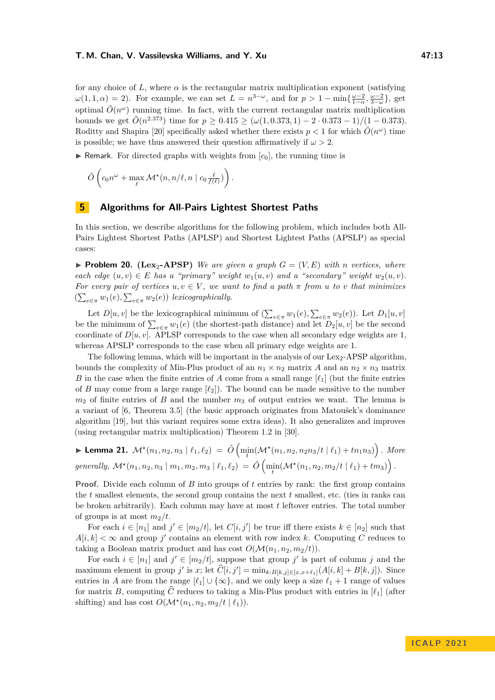for any choice of L, where  $\alpha$  is the rectangular matrix multiplication exponent (satisfying  $\omega(1,1,\alpha) = 2$ . For example, we can set  $L = n^{3-\omega}$ , and for  $p > 1 - \min\{\frac{\omega-2}{1-\alpha}, \frac{\omega-2}{3-\omega}\}\,$ , get optimal  $\tilde{O}(n^{\omega})$  running time. In fact, with the current rectangular matrix multiplication bounds we get  $\tilde{O}(n^{2.373})$  time for  $p \ge 0.415 \ge (\omega(1, 0.373, 1) - 2 \cdot 0.373 - 1)/(1 - 0.373)$ . Roditty and Shapira [\[20\]](#page-19-13) specifically asked whether there exists  $p < 1$  for which  $\tilde{O}(n^{\omega})$  time is possible; we have thus answered their question affirmatively if  $\omega > 2$ .

 $\triangleright$  Remark. For directed graphs with weights from  $[c_0]$ , the running time is

$$
\tilde{O}\left(c_0 n^{\omega} + \max_{\ell} \mathcal{M}^{\star}(n, n/\ell, n \mid c_0 \frac{\ell}{f(\ell)})\right)
$$

# <span id="page-12-0"></span>**5 Algorithms for All-Pairs Lightest Shortest Paths**

In this section, we describe algorithms for the following problem, which includes both All-Pairs Lightest Shortest Paths (APLSP) and Shortest Lightest Paths (APSLP) as special cases:

*.*

 $\blacktriangleright$  **Problem 20.** (Lex<sub>2</sub>-APSP) *We are given a graph*  $G = (V, E)$  *with n vertices, where each edge*  $(u, v) \in E$  *has a "primary" weight*  $w_1(u, v)$  *and a "secondary" weight*  $w_2(u, v)$ . *For every pair of vertices*  $u, v \in V$ , we want to find a path  $\pi$  from u to v that minimizes  $(\sum_{e \in \pi} w_1(e), \sum_{e \in \pi} w_2(e))$  *lexicographically.* 

Let  $D[u, v]$  be the lexicographical minimum of  $(\sum_{e \in \pi} w_1(e), \sum_{e \in \pi} w_2(e))$ . Let  $D_1[u, v]$ be the minimum of  $\sum_{e \in \pi} w_1(e)$  (the shortest-path distance) and let  $D_2[u, v]$  be the second coordinate of  $D[u, v]$ . APLSP corresponds to the case when all secondary edge weights are 1, whereas APSLP corresponds to the case when all primary edge weights are 1.

The following lemma, which will be important in the analysis of our Lex<sub>2</sub>-APSP algorithm. bounds the complexity of Min-Plus product of an  $n_1 \times n_2$  matrix *A* and an  $n_2 \times n_3$  matrix *B* in the case when the finite entries of *A* come from a small range  $[\ell_1]$  (but the finite entries of *B* may come from a large range  $[\ell_2]$ . The bound can be made sensitive to the number *m*<sup>2</sup> of finite entries of *B* and the number *m*<sup>3</sup> of output entries we want. The lemma is a variant of [\[6,](#page-18-7) Theorem 3.5] (the basic approach originates from Matoušek's dominance algorithm [\[19\]](#page-19-16), but this variant requires some extra ideas). It also generalizes and improves (using rectangular matrix multiplication) Theorem 1.2 in [\[30\]](#page-19-17).

<span id="page-12-1"></span>
$$
\blacktriangleright \textbf{Lemma 21. } \mathcal{M}^{\star}(n_1, n_2, n_3 \mid \ell_1, \ell_2) = \tilde{O}\left(\min_{t} (\mathcal{M}^{\star}(n_1, n_2, n_2n_3/t \mid \ell_1) + t n_1 n_3)\right). \text{ More generally, } \mathcal{M}^{\star}(n_1, n_2, n_3 \mid m_1, m_2, m_3 \mid \ell_1, \ell_2) = \tilde{O}\left(\min_{t} (\mathcal{M}^{\star}(n_1, n_2, m_2/t \mid \ell_1) + t m_3)\right).
$$

**Proof.** Divide each column of *B* into groups of *t* entries by rank: the first group contains the *t* smallest elements, the second group contains the next *t* smallest, etc. (ties in ranks can be broken arbitrarily). Each column may have at most *t* leftover entries. The total number of groups is at most  $m_2/t$ .

For each  $i \in [n_1]$  and  $j' \in [m_2/t]$ , let  $C[i, j']$  be true iff there exists  $k \in [n_2]$  such that  $A[i, k] < \infty$  and group *j*' contains an element with row index *k*. Computing *C* reduces to taking a Boolean matrix product and has cost  $O(\mathcal{M}(n_1, n_2, m_2/t)).$ 

For each  $i \in [n_1]$  and  $j' \in [m_2/t]$ , suppose that group  $j'$  is part of column j and the maximum element in group *j'* is *x*; let  $\widehat{C}[i,j'] = \min_{k:B[k,j] \in [x,x+\ell_1]} (A[i,k] + B[k,j])$ . Since entries in *A* are from the range  $[\ell_1] \cup {\infty}$ , and we only keep a size  $\ell_1 + 1$  range of values for matrix *B*, computing  $\hat{C}$  reduces to taking a Min-Plus product with entries in  $[\ell_1]$  (after shifting) and has cost  $O(\mathcal{M}^\star(n_1, n_2, m_2/t \mid \ell_1)).$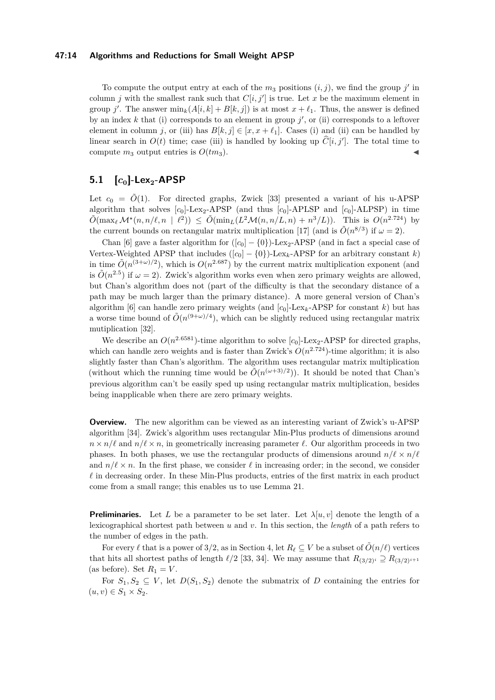## **47:14 Algorithms and Reductions for Small Weight APSP**

To compute the output entry at each of the  $m_3$  positions  $(i, j)$ , we find the group  $j'$  in column *j* with the smallest rank such that  $C[i, j']$  is true. Let *x* be the maximum element in group *j'*. The answer  $\min_k (A[i, k] + B[k, j])$  is at most  $x + \ell_1$ . Thus, the answer is defined by an index  $k$  that (i) corresponds to an element in group  $j'$ , or (ii) corresponds to a leftover element in column *j*, or (iii) has  $B[k, j] \in [x, x + \ell_1]$ . Cases (i) and (ii) can be handled by linear search in  $O(t)$  time; case (iii) is handled by looking up  $\hat{C}[i, j']$ . The total time to compute  $m_3$  output entries is  $O(t m_3)$ .

# **5.1 [***c***0]-Lex2-APSP**

Let  $c_0 = \tilde{O}(1)$ . For directed graphs, Zwick [\[33\]](#page-20-1) presented a variant of his u-APSP algorithm that solves  $[c_0]$ -Lex<sub>2</sub>-APSP (and thus  $[c_0]$ -APLSP and  $[c_0]$ -ALPSP) in time  $\tilde{O}(\max_{\ell} \mathcal{M}^*(n, n/\ell, n \mid \ell^2)) \leq \tilde{O}(\min_L(L^2\mathcal{M}(n, n/L, n) + n^3/L)).$  This is  $O(n^{2.724})$  by the current bounds on rectangular matrix multiplication [\[17\]](#page-19-5) (and is  $\tilde{O}(n^{8/3})$  if  $\omega = 2$ ).

Chan [\[6\]](#page-18-7) gave a faster algorithm for  $([c_0] - \{0\})$ -Lex<sub>2</sub>-APSP (and in fact a special case of Vertex-Weighted APSP that includes  $([c_0] - \{0\})$ -Lex<sub>k</sub>-APSP for an arbitrary constant *k*) in time  $\tilde{O}(n^{(3+\omega)/2})$ , which is  $O(n^{2.687})$  by the current matrix multiplication exponent (and is  $\tilde{O}(n^{2.5})$  if  $\omega = 2$ ). Zwick's algorithm works even when zero primary weights are allowed, but Chan's algorithm does not (part of the difficulty is that the secondary distance of a path may be much larger than the primary distance). A more general version of Chan's algorithm [\[6\]](#page-18-7) can handle zero primary weights (and  $[c_0]$ -Lex<sub>k</sub>-APSP for constant k) but has a worse time bound of  $\tilde{O}(n^{(9+\omega)/4})$ , which can be slightly reduced using rectangular matrix mutiplication [\[32\]](#page-19-15).

We describe an  $O(n^{2.6581})$ -time algorithm to solve  $[c_0]$ -Lex<sub>2</sub>-APSP for directed graphs, which can handle zero weights and is faster than Zwick's  $O(n^{2.724})$ -time algorithm; it is also slightly faster than Chan's algorithm. The algorithm uses rectangular matrix multiplication (without which the running time would be  $\tilde{O}(n^{(\omega+3)/2})$ ). It should be noted that Chan's previous algorithm can't be easily sped up using rectangular matrix multiplication, besides being inapplicable when there are zero primary weights.

**Overview.** The new algorithm can be viewed as an interesting variant of Zwick's u-APSP algorithm [\[34\]](#page-20-0). Zwick's algorithm uses rectangular Min-Plus products of dimensions around  $n \times n/\ell$  and  $n/\ell \times n$ , in geometrically increasing parameter  $\ell$ . Our algorithm proceeds in two phases. In both phases, we use the rectangular products of dimensions around  $n/\ell \times n/\ell$ and  $n/\ell \times n$ . In the first phase, we consider  $\ell$  in increasing order; in the second, we consider *ℓ* in decreasing order. In these Min-Plus products, entries of the first matrix in each product come from a small range; this enables us to use Lemma [21.](#page-12-1)

**Preliminaries.** Let L be a parameter to be set later. Let  $\lambda[u, v]$  denote the length of a lexicographical shortest path between *u* and *v*. In this section, the *length* of a path refers to the number of edges in the path.

For every  $\ell$  that is a power of 3/2, as in Section [4,](#page-10-0) let  $R_{\ell} \subseteq V$  be a subset of  $O(n/\ell)$  vertices that hits all shortest paths of length  $\ell/2$  [\[33,](#page-20-1) [34\]](#page-20-0). We may assume that  $R_{(3/2)^i} \supseteq R_{(3/2)^{i+1}}$ (as before). Set  $R_1 = V$ .

For  $S_1, S_2 \subseteq V$ , let  $D(S_1, S_2)$  denote the submatrix of *D* containing the entries for  $(u, v) \in S_1 \times S_2$ .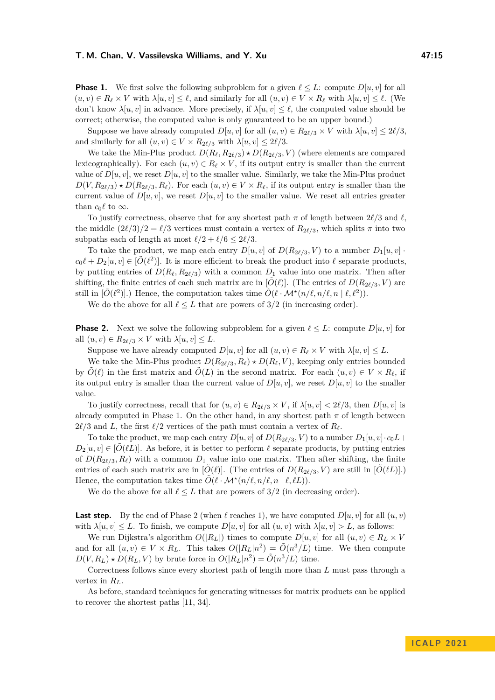**Phase 1.** We first solve the following subproblem for a given  $\ell \leq L$ : compute  $D[u, v]$  for all  $(u, v) \in R_\ell \times V$  with  $\lambda[u, v] \leq \ell$ , and similarly for all  $(u, v) \in V \times R_\ell$  with  $\lambda[u, v] \leq \ell$ . (We don't know  $\lambda[u, v]$  in advance. More precisely, if  $\lambda[u, v] \leq \ell$ , the computed value should be correct; otherwise, the computed value is only guaranteed to be an upper bound.)

Suppose we have already computed  $D[u, v]$  for all  $(u, v) \in R_{2\ell/3} \times V$  with  $\lambda[u, v] \leq 2\ell/3$ , and similarly for all  $(u, v) \in V \times R_{2\ell/3}$  with  $\lambda[u, v] \leq 2\ell/3$ .

We take the Min-Plus product  $D(R_\ell, R_{2\ell/3}) \star D(R_{2\ell/3}, V)$  (where elements are compared lexicographically). For each  $(u, v) \in R_\ell \times V$ , if its output entry is smaller than the current value of  $D[u, v]$ , we reset  $D[u, v]$  to the smaller value. Similarly, we take the Min-Plus product  $D(V, R_{2\ell/3}) \star D(R_{2\ell/3}, R_{\ell})$ . For each  $(u, v) \in V \times R_{\ell}$ , if its output entry is smaller than the current value of  $D[u, v]$ , we reset  $D[u, v]$  to the smaller value. We reset all entries greater than  $c_0 \ell$  to  $\infty$ .

To justify correctness, observe that for any shortest path *π* of length between 2*ℓ/*3 and *ℓ*, the middle  $(2\ell/3)/2 = \ell/3$  vertices must contain a vertex of  $R_{2\ell/3}$ , which splits  $\pi$  into two subpaths each of length at most  $\ell/2 + \ell/6 \leq 2\ell/3$ .

To take the product, we map each entry  $D[u, v]$  of  $D(R_{2\ell/3}, V)$  to a number  $D_1[u, v]$ .  $c_0\ell + D_2[u, v] \in [\tilde{O}(\ell^2)]$ . It is more efficient to break the product into  $\ell$  separate products, by putting entries of  $D(R_\ell, R_{2\ell/3})$  with a common  $D_1$  value into one matrix. Then after shifting, the finite entries of each such matrix are in  $[\tilde{O}(\ell)]$ . (The entries of  $D(R_{2\ell/3}, V)$  are still in  $[\tilde{O}(\ell^2)]$ .) Hence, the computation takes time  $\tilde{O}(\ell \cdot \mathcal{M}^\star(n/\ell, n/\ell, n | \ell, \ell^2))$ .

We do the above for all  $\ell \leq L$  that are powers of  $3/2$  (in increasing order).

**Phase 2.** Next we solve the following subproblem for a given  $\ell \leq L$ : compute  $D[u, v]$  for all  $(u, v) \in R_{2\ell/3} \times V$  with  $\lambda[u, v] \leq L$ .

Suppose we have already computed  $D[u, v]$  for all  $(u, v) \in R_{\ell} \times V$  with  $\lambda[u, v] \leq L$ .

We take the Min-Plus product  $D(R_{2\ell/3}, R_{\ell}) \star D(R_{\ell}, V)$ , keeping only entries bounded by  $\tilde{O}(\ell)$  in the first matrix and  $\tilde{O}(L)$  in the second matrix. For each  $(u, v) \in V \times R_{\ell}$ , if its output entry is smaller than the current value of  $D[u, v]$ , we reset  $D[u, v]$  to the smaller value.

To justify correctness, recall that for  $(u, v) \in R_{2\ell/3} \times V$ , if  $\lambda[u, v] < 2\ell/3$ , then  $D[u, v]$  is already computed in Phase 1. On the other hand, in any shortest path  $\pi$  of length between  $2\ell/3$  and *L*, the first  $\ell/2$  vertices of the path must contain a vertex of  $R_\ell$ .

To take the product, we map each entry  $D[u, v]$  of  $D(R_{2\ell/3}, V)$  to a number  $D_1[u, v] \cdot c_0L +$  $D_2[u, v] \in [O(\ell L)]$ . As before, it is better to perform  $\ell$  separate products, by putting entries of  $D(R_{2\ell/3}, R_{\ell})$  with a common  $D_1$  value into one matrix. Then after shifting, the finite entries of each such matrix are in  $[\tilde{O}(\ell)]$ . (The entries of  $D(R_{2\ell/3}, V)$  are still in  $[\tilde{O}(\ell L)]$ .) Hence, the computation takes time  $\tilde{O}(\ell \cdot \mathcal{M}^\star(n/\ell, n/\ell, n \mid \ell, \ell L)).$ 

We do the above for all  $\ell \leq L$  that are powers of  $3/2$  (in decreasing order).

**Last step.** By the end of Phase 2 (when  $\ell$  reaches 1), we have computed  $D[u, v]$  for all  $(u, v)$ with  $\lambda[u, v] \leq L$ . To finish, we compute  $D[u, v]$  for all  $(u, v)$  with  $\lambda[u, v] > L$ , as follows:

We run Dijkstra's algorithm  $O(|R_L|)$  times to compute  $D[u, v]$  for all  $(u, v) \in R_L \times V$ and for all  $(u, v) \in V \times R_L$ . This takes  $O(|R_L|n^2) = \tilde{O}(n^3/L)$  time. We then compute  $D(V, R_L) \star D(R_L, V)$  by brute force in  $O(|R_L|n^2) = \tilde{O}(n^3/L)$  time.

Correctness follows since every shortest path of length more than *L* must pass through a vertex in  $R_L$ .

As before, standard techniques for generating witnesses for matrix products can be applied to recover the shortest paths [\[11,](#page-18-12) [34\]](#page-20-0).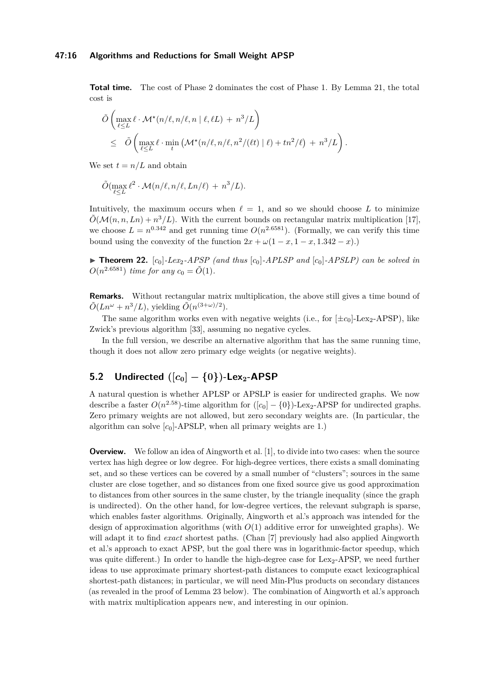## **47:16 Algorithms and Reductions for Small Weight APSP**

**Total time.** The cost of Phase 2 dominates the cost of Phase 1. By Lemma [21,](#page-12-1) the total cost is

$$
\tilde{O}\left(\max_{\ell \leq L} \ell \cdot \mathcal{M}^*(n/\ell, n/\ell, n \mid \ell, \ell L) + n^3/L\right) \n\leq \tilde{O}\left(\max_{\ell \leq L} \ell \cdot \min_{t} \left(\mathcal{M}^*(n/\ell, n/\ell, n^2/(\ell t) \mid \ell) + tn^2/\ell\right) + n^3/L\right).
$$

We set  $t = n/L$  and obtain

$$
\tilde{O}(\max_{\ell \leq L} \ell^2 \cdot \mathcal{M}(n/\ell, n/\ell, Ln/\ell) + n^3/L).
$$

Intuitively, the maximum occurs when  $\ell = 1$ , and so we should choose L to minimize  $\tilde{O}(\mathcal{M}(n, n, Ln) + n^3/L)$ . With the current bounds on rectangular matrix multiplication [\[17\]](#page-19-5), we choose  $L = n^{0.342}$  and get running time  $O(n^{2.6581})$ . (Formally, we can verify this time bound using the convexity of the function  $2x + \omega(1 - x, 1 - x, 1.342 - x)$ .

 $\blacktriangleright$  **Theorem 22.**  $[c_0]$ -Lex<sub>2</sub>-APSP (and thus  $[c_0]$ -APLSP and  $[c_0]$ -APSLP) can be solved in  $O(n^{2.6581})$  *time for any*  $c_0 = \tilde{O}(1)$ *.* 

**Remarks.** Without rectangular matrix multiplication, the above still gives a time bound of  $\tilde{O}(Ln^{\omega} + n^3/L)$ , yielding  $\tilde{O}(n^{(3+\omega)/2})$ .

The same algorithm works even with negative weights (i.e., for  $[\pm c_0]$ -Lex<sub>2</sub>-APSP), like Zwick's previous algorithm [\[33\]](#page-20-1), assuming no negative cycles.

In the full version, we describe an alternative algorithm that has the same running time, though it does not allow zero primary edge weights (or negative weights).

# <span id="page-15-0"></span>**5.2** Undirected  $([c_0] - \{0\})$ **-Lex**<sub>2</sub>**-APSP**

A natural question is whether APLSP or APSLP is easier for undirected graphs. We now describe a faster  $O(n^{2.58})$ -time algorithm for  $([c_0] - \{0\})$ -Lex<sub>2</sub>-APSP for undirected graphs. Zero primary weights are not allowed, but zero secondary weights are. (In particular, the algorithm can solve  $[c_0]$ -APSLP, when all primary weights are 1.)

**Overview.** We follow an idea of Aingworth et al. [\[1\]](#page-18-11), to divide into two cases: when the source vertex has high degree or low degree. For high-degree vertices, there exists a small dominating set, and so these vertices can be covered by a small number of "clusters"; sources in the same cluster are close together, and so distances from one fixed source give us good approximation to distances from other sources in the same cluster, by the triangle inequality (since the graph is undirected). On the other hand, for low-degree vertices, the relevant subgraph is sparse, which enables faster algorithms. Originally, Aingworth et al.'s approach was intended for the design of approximation algorithms (with *O*(1) additive error for unweighted graphs). We will adapt it to find *exact* shortest paths. (Chan [\[7\]](#page-18-13) previously had also applied Aingworth et al.'s approach to exact APSP, but the goal there was in logarithmic-factor speedup, which was quite different.) In order to handle the high-degree case for  $Lex_2-APSP$ , we need further ideas to use approximate primary shortest-path distances to compute exact lexicographical shortest-path distances; in particular, we will need Min-Plus products on secondary distances (as revealed in the proof of Lemma [23](#page-16-0) below). The combination of Aingworth et al.'s approach with matrix multiplication appears new, and interesting in our opinion.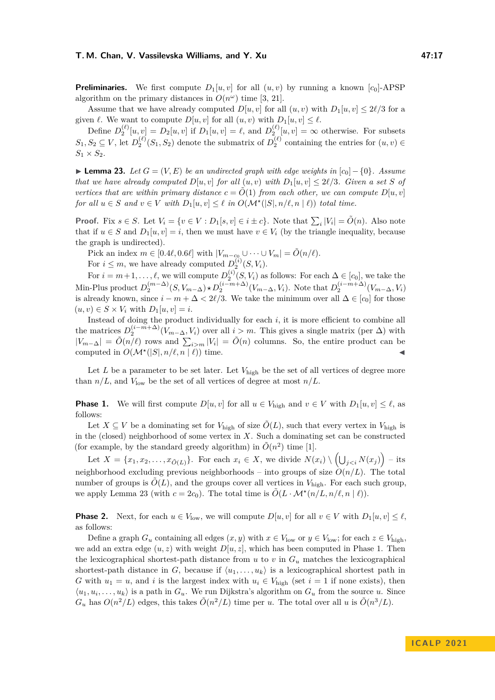**Preliminaries.** We first compute  $D_1[u, v]$  for all  $(u, v)$  by running a known  $[c_0]$ -APSP algorithm on the primary distances in  $O(n^{\omega})$  time [\[3,](#page-18-3) [21\]](#page-19-1).

Assume that we have already computed  $D[u, v]$  for all  $(u, v)$  with  $D_1[u, v] \leq 2\ell/3$  for a given  $\ell$ . We want to compute  $D[u, v]$  for all  $(u, v)$  with  $D_1[u, v] \leq \ell$ .

Define  $D_2^{(\ell)}[u, v] = D_2[u, v]$  if  $D_1[u, v] = \ell$ , and  $D_2^{(\ell)}[u, v] = \infty$  otherwise. For subsets  $S_1, S_2 \subseteq V$ , let  $D_2^{(\ell)}(S_1, S_2)$  denote the submatrix of  $D_2^{(\ell)}$  containing the entries for  $(u, v) \in$  $S_1 \times S_2$ .

<span id="page-16-0"></span>**► Lemma 23.** Let  $G = (V, E)$  be an undirected graph with edge weights in  $[c_0] - \{0\}$ . Assume *that we have already computed*  $D[u, v]$  *for all*  $(u, v)$  *with*  $D_1[u, v] \leq 2\ell/3$ *. Given a set S of vertices that are within primary distance*  $c = \tilde{O}(1)$  *from each other, we can compute*  $D[u, v]$ *for all*  $u \in S$  *and*  $v \in V$  *with*  $D_1[u, v] \leq \ell$  *in*  $O(\mathcal{M}^*(|S|, n/\ell, n | \ell))$  *total time.* 

**Proof.** Fix  $s \in S$ . Let  $V_i = \{v \in V : D_1[s, v] \in i \pm c\}$ . Note that  $\sum_i |V_i| = \tilde{O}(n)$ . Also note that if  $u \in S$  and  $D_1[u, v] = i$ , then we must have  $v \in V_i$  (by the triangle inequality, because the graph is undirected).

Pick an index  $m \in [0.4\ell, 0.6\ell]$  with  $|V_{m-c_0} \cup \cdots \cup V_m| = \tilde{O}(n/\ell)$ .

For  $i \leq m$ , we have already computed  $D_2^{(i)}(S, V_i)$ .

For  $i = m+1, \ldots, \ell$ , we will compute  $D_2^{(i)}(S, V_i)$  as follows: For each  $\Delta \in [c_0]$ , we take the Min-Plus product  $D_2^{(m-\Delta)}(S, V_{m-\Delta}) \star D_2^{(i-m+\Delta)}(V_{m-\Delta}, V_i)$ . Note that  $D_2^{(i-m+\Delta)}(V_{m-\Delta}, V_i)$ is already known, since  $i - m + \Delta < 2\ell/3$ . We take the minimum over all  $\Delta \in [c_0]$  for those  $(u, v) \in S \times V_i$  with  $D_1[u, v] = i$ .

Instead of doing the product individually for each  $i$ , it is more efficient to combine all the matrices  $D_2^{(i-m+\Delta)}(V_{m-\Delta}, V_i)$  over all  $i > m$ . This gives a single matrix (per  $\Delta$ ) with  $|V_{m-∆}| = \tilde{O}(n/\ell)$  rows and  $\sum_{i>m} |V_i| = \tilde{O}(n)$  columns. So, the entire product can be computed in  $O(\mathcal{M}^{\star}(|S|, n/\ell, n | \ell))$  time.

Let  $L$  be a parameter to be set later. Let  $V_{\text{high}}$  be the set of all vertices of degree more than  $n/L$ , and  $V_{\text{low}}$  be the set of all vertices of degree at most  $n/L$ .

**Phase 1.** We will first compute  $D[u, v]$  for all  $u \in V_{\text{high}}$  and  $v \in V$  with  $D_1[u, v] \leq \ell$ , as follows:

Let  $X \subseteq V$  be a dominating set for  $V_{\text{high}}$  of size  $\tilde{O}(L)$ , such that every vertex in  $V_{\text{high}}$  is in the (closed) neighborhood of some vertex in *X*. Such a dominating set can be constructed (for example, by the standard greedy algorithm) in  $\tilde{O}(n^2)$  time [\[1\]](#page-18-11).

Let  $X = \{x_1, x_2, \ldots, x_{\tilde{O}(L)}\}$ . For each  $x_i \in X$ , we divide  $N(x_i) \setminus \left(\bigcup_{j < i} N(x_j)\right) -$  its neighborhood excluding previous neighborhoods – into groups of size  $\hat{O}(n/L)$ . The total number of groups is  $\tilde{O}(L)$ , and the groups cover all vertices in  $V_{\text{high}}$ . For each such group, we apply Lemma [23](#page-16-0) (with  $c = 2c_0$ ). The total time is  $\tilde{O}(L \cdot \mathcal{M}^\star(n/L, n/\ell, n \mid \ell)).$ 

**Phase 2.** Next, for each  $u \in V_{\text{low}}$ , we will compute  $D[u, v]$  for all  $v \in V$  with  $D_1[u, v] \leq \ell$ , as follows:

Define a graph  $G_u$  containing all edges  $(x, y)$  with  $x \in V_{\text{low}}$  or  $y \in V_{\text{low}}$ ; for each  $z \in V_{\text{high}}$ , we add an extra edge  $(u, z)$  with weight  $D[u, z]$ , which has been computed in Phase 1. Then the lexicographical shortest-path distance from  $u$  to  $v$  in  $G_u$  matches the lexicographical shortest-path distance in *G*, because if  $\langle u_1, \ldots, u_k \rangle$  is a lexicographical shortest path in *G* with  $u_1 = u$ , and *i* is the largest index with  $u_i \in V_{\text{high}}$  (set  $i = 1$  if none exists), then  $\langle u_1, u_i, \ldots, u_k \rangle$  is a path in  $G_u$ . We run Dijkstra's algorithm on  $G_u$  from the source *u*. Since  $G_u$  has  $O(n^2/L)$  edges, this takes  $\tilde{O}(n^2/L)$  time per *u*. The total over all *u* is  $\tilde{O}(n^3/L)$ .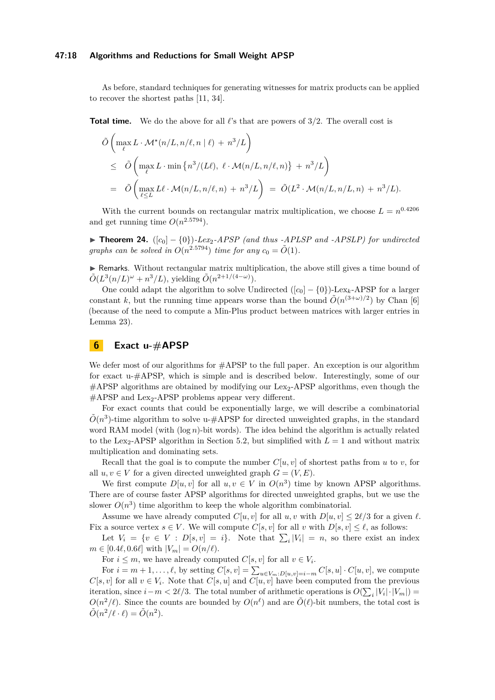## **47:18 Algorithms and Reductions for Small Weight APSP**

As before, standard techniques for generating witnesses for matrix products can be applied to recover the shortest paths [\[11,](#page-18-12) [34\]](#page-20-0).

**Total time.** We do the above for all *ℓ*'s that are powers of 3*/*2. The overall cost is

$$
\tilde{O}\left(\max_{\ell} L \cdot \mathcal{M}^*(n/L, n/\ell, n \mid \ell) + n^3/L\right)
$$
\n
$$
\leq \tilde{O}\left(\max_{\ell} L \cdot \min\left\{n^3/(L\ell), \ell \cdot \mathcal{M}(n/L, n/\ell, n)\right\} + n^3/L\right)
$$
\n
$$
= \tilde{O}\left(\max_{\ell \leq L} L\ell \cdot \mathcal{M}(n/L, n/\ell, n) + n^3/L\right) = \tilde{O}(L^2 \cdot \mathcal{M}(n/L, n/L, n) + n^3/L).
$$

With the current bounds on rectangular matrix multiplication, we choose  $L = n^{0.4206}$ and get running time  $O(n^{2.5794})$ .

**► Theorem 24.**  $([c_0] - \{0\})$ -Lex<sub>2</sub>-APSP (and thus -APLSP and -APSLP) for undirected *graphs can be solved in*  $O(n^{2.5794})$  *time for any*  $c_0 = \tilde{O}(1)$ *.* 

▶ Remarks. Without rectangular matrix multiplication, the above still gives a time bound of  $\tilde{O}(L^3(n/L)^\omega + n^3/L)$ , yielding  $\tilde{O}(n^{2+1/(4-\omega)})$ .

One could adapt the algorithm to solve Undirected  $([c_0] - \{0\})$ -Lex<sub>k</sub>-APSP for a larger constant *k*, but the running time appears worse than the bound  $\tilde{O}(n^{(3+\omega)/2})$  by Chan [\[6\]](#page-18-7) (because of the need to compute a Min-Plus product between matrices with larger entries in Lemma [23\)](#page-16-0).

# <span id="page-17-0"></span>**6 Exact u-#APSP**

We defer most of our algorithms for  $\#APSP$  to the full paper. An exception is our algorithm for exact u-#APSP, which is simple and is described below. Interestingly, some of our  $\#$ APSP algorithms are obtained by modifying our Lex<sub>2</sub>-APSP algorithms, even though the  $#APSP$  and Lex<sub>2</sub>-APSP problems appear very different.

For exact counts that could be exponentially large, we will describe a combinatorial  $\tilde{O}(n^3)$ -time algorithm to solve u-#APSP for directed unweighted graphs, in the standard word RAM model (with (log *n*)-bit words). The idea behind the algorithm is actually related to the Lex<sub>2</sub>-APSP algorithm in Section [5.2,](#page-15-0) but simplified with  $L = 1$  and without matrix multiplication and dominating sets.

Recall that the goal is to compute the number  $C[u, v]$  of shortest paths from *u* to *v*, for all  $u, v \in V$  for a given directed unweighted graph  $G = (V, E)$ .

We first compute  $D[u, v]$  for all  $u, v \in V$  in  $O(n^3)$  time by known APSP algorithms. There are of course faster APSP algorithms for directed unweighted graphs, but we use the slower  $O(n^3)$  time algorithm to keep the whole algorithm combinatorial.

Assume we have already computed  $C[u, v]$  for all  $u, v$  with  $D[u, v] \leq 2\ell/3$  for a given  $\ell$ . Fix a source vertex  $s \in V$ . We will compute  $C[s, v]$  for all v with  $D[s, v] \leq \ell$ , as follows:

Let  $V_i = \{v \in V : D[s, v] = i\}$ . Note that  $\sum_i |V_i| = n$ , so there exist an index  $m \in [0.4\ell, 0.6\ell]$  with  $|V_m| = O(n/\ell)$ .

For  $i \leq m$ , we have already computed  $C[s, v]$  for all  $v \in V_i$ .

For  $i = m + 1, \ldots, \ell$ , by setting  $C[s, v] = \sum_{u \in V_m : D[u, v] = i - m} C[s, u] \cdot C[u, v]$ , we compute  $C[s, v]$  for all  $v \in V_i$ . Note that  $C[s, u]$  and  $C[u, v]$  have been computed from the previous iteration, since  $i - m < 2\ell/3$ . The total number of arithmetic operations is  $O(\sum_i |V_i| \cdot |V_m|)$  $O(n^2/\ell)$ . Since the counts are bounded by  $O(n^{\ell})$  and are  $\tilde{O}(\ell)$ -bit numbers, the total cost is  $\tilde{O}(n^2/\ell \cdot \ell) = \tilde{O}(n^2).$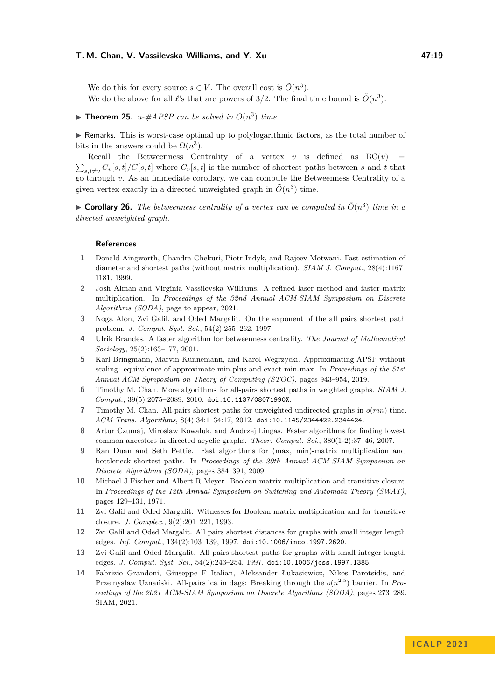We do this for every source  $s \in V$ . The overall cost is  $\tilde{O}(n^3)$ . We do the above for all  $\ell$ 's that are powers of 3/2. The final time bound is  $\tilde{O}(n^3)$ .

 $\blacktriangleright$  **Theorem 25.** *u-#APSP can be solved in*  $\tilde{O}(n^3)$  *time.* 

▶ Remarks. This is worst-case optimal up to polylogarithmic factors, as the total number of bits in the answers could be  $\Omega(n^3)$ .

Recall the Betweenness Centrality of a vertex  $v$  is defined as  $BC(v)$  =  $\sum_{s,t\neq v} C_v[s,t]/C[s,t]$  where  $C_v[s,t]$  is the number of shortest paths between *s* and *t* that go through *v*. As an immediate corollary, we can compute the Betweenness Centrality of a given vertex exactly in a directed unweighted graph in  $\tilde{O}(n^3)$  time.

 $\triangleright$  **Corollary 26.** The betweenness centrality of a vertex can be computed in  $\tilde{O}(n^3)$  time in a *directed unweighted graph.*

#### **References**

- <span id="page-18-11"></span>**1** Donald Aingworth, Chandra Chekuri, Piotr Indyk, and Rajeev Motwani. Fast estimation of diameter and shortest paths (without matrix multiplication). *SIAM J. Comput.*, 28(4):1167– 1181, 1999.
- <span id="page-18-2"></span>**2** Josh Alman and Virginia Vassilevska Williams. A refined laser method and faster matrix multiplication. In *Proceedings of the 32nd Annual ACM-SIAM Symposium on Discrete Algorithms (SODA)*, page to appear, 2021.
- <span id="page-18-3"></span>**3** Noga Alon, Zvi Galil, and Oded Margalit. On the exponent of the all pairs shortest path problem. *J. Comput. Syst. Sci.*, 54(2):255–262, 1997.
- <span id="page-18-10"></span>**4** Ulrik Brandes. A faster algorithm for betweenness centrality. *The Journal of Mathematical Sociology*, 25(2):163–177, 2001.
- <span id="page-18-9"></span>**5** Karl Bringmann, Marvin Künnemann, and Karol Wegrzycki. Approximating APSP without scaling: equivalence of approximate min-plus and exact min-max. In *Proceedings of the 51st Annual ACM Symposium on Theory of Computing (STOC)*, pages 943–954, 2019.
- <span id="page-18-7"></span>**6** Timothy M. Chan. More algorithms for all-pairs shortest paths in weighted graphs. *SIAM J. Comput.*, 39(5):2075–2089, 2010. [doi:10.1137/08071990X](https://doi.org/10.1137/08071990X).
- <span id="page-18-13"></span>**7** Timothy M. Chan. All-pairs shortest paths for unweighted undirected graphs in *o*(*mn*) time. *ACM Trans. Algorithms*, 8(4):34:1–34:17, 2012. [doi:10.1145/2344422.2344424](https://doi.org/10.1145/2344422.2344424).
- <span id="page-18-6"></span>**8** Artur Czumaj, Miroslaw Kowaluk, and Andrzej Lingas. Faster algorithms for finding lowest common ancestors in directed acyclic graphs. *Theor. Comput. Sci.*, 380(1-2):37–46, 2007.
- <span id="page-18-5"></span>**9** Ran Duan and Seth Pettie. Fast algorithms for (max, min)-matrix multiplication and bottleneck shortest paths. In *Proceedings of the 20th Annual ACM-SIAM Symposium on Discrete Algorithms (SODA)*, pages 384–391, 2009.
- <span id="page-18-4"></span>**10** Michael J Fischer and Albert R Meyer. Boolean matrix multiplication and transitive closure. In *Proceedings of the 12th Annual Symposium on Switching and Automata Theory (SWAT)*, pages 129–131, 1971.
- <span id="page-18-12"></span>**11** Zvi Galil and Oded Margalit. Witnesses for Boolean matrix multiplication and for transitive closure. *J. Complex.*, 9(2):201–221, 1993.
- <span id="page-18-0"></span>**12** Zvi Galil and Oded Margalit. All pairs shortest distances for graphs with small integer length edges. *Inf. Comput.*, 134(2):103–139, 1997. [doi:10.1006/inco.1997.2620](https://doi.org/10.1006/inco.1997.2620).
- <span id="page-18-1"></span>**13** Zvi Galil and Oded Margalit. All pairs shortest paths for graphs with small integer length edges. *J. Comput. Syst. Sci.*, 54(2):243–254, 1997. [doi:10.1006/jcss.1997.1385](https://doi.org/10.1006/jcss.1997.1385).
- <span id="page-18-8"></span>**14** Fabrizio Grandoni, Giuseppe F Italian, Aleksander Łukasiewicz, Nikos Parotsidis, and Przemysław Uznański. All-pairs lca in dags: Breaking through the *o*(*n* 2*.*5 ) barrier. In *Proceedings of the 2021 ACM-SIAM Symposium on Discrete Algorithms (SODA)*, pages 273–289. SIAM, 2021.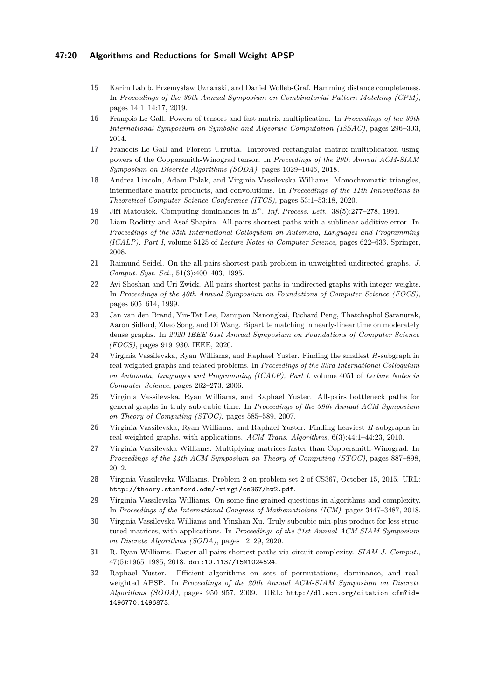## **47:20 Algorithms and Reductions for Small Weight APSP**

- <span id="page-19-11"></span>**15** Karim Labib, Przemysław Uznański, and Daniel Wolleb-Graf. Hamming distance completeness. In *Proceedings of the 30th Annual Symposium on Combinatorial Pattern Matching (CPM)*, pages 14:1–14:17, 2019.
- <span id="page-19-3"></span>**16** François Le Gall. Powers of tensors and fast matrix multiplication. In *Proceedings of the 39th International Symposium on Symbolic and Algebraic Computation (ISSAC)*, pages 296–303, 2014.
- <span id="page-19-5"></span>**17** Francois Le Gall and Florent Urrutia. Improved rectangular matrix multiplication using powers of the Coppersmith-Winograd tensor. In *Proceedings of the 29th Annual ACM-SIAM Symposium on Discrete Algorithms (SODA)*, pages 1029–1046, 2018.
- <span id="page-19-7"></span>**18** Andrea Lincoln, Adam Polak, and Virginia Vassilevska Williams. Monochromatic triangles, intermediate matrix products, and convolutions. In *Proceedings of the 11th Innovations in Theoretical Computer Science Conference (ITCS)*, pages 53:1–53:18, 2020.
- <span id="page-19-16"></span>**19** Jiří Matoušek. Computing dominances in *E n* . *Inf. Process. Lett.*, 38(5):277–278, 1991.
- <span id="page-19-13"></span>**20** Liam Roditty and Asaf Shapira. All-pairs shortest paths with a sublinear additive error. In *Proceedings of the 35th International Colloquium on Automata, Languages and Programming (ICALP), Part I*, volume 5125 of *Lecture Notes in Computer Science*, pages 622–633. Springer, 2008.
- <span id="page-19-1"></span>**21** Raimund Seidel. On the all-pairs-shortest-path problem in unweighted undirected graphs. *J. Comput. Syst. Sci.*, 51(3):400–403, 1995.
- <span id="page-19-4"></span>**22** Avi Shoshan and Uri Zwick. All pairs shortest paths in undirected graphs with integer weights. In *Proceedings of the 40th Annual Symposium on Foundations of Computer Science (FOCS)*, pages 605–614, 1999.
- <span id="page-19-14"></span>**23** Jan van den Brand, Yin-Tat Lee, Danupon Nanongkai, Richard Peng, Thatchaphol Saranurak, Aaron Sidford, Zhao Song, and Di Wang. Bipartite matching in nearly-linear time on moderately dense graphs. In *2020 IEEE 61st Annual Symposium on Foundations of Computer Science (FOCS)*, pages 919–930. IEEE, 2020.
- <span id="page-19-8"></span>**24** Virginia Vassilevska, Ryan Williams, and Raphael Yuster. Finding the smallest *H*-subgraph in real weighted graphs and related problems. In *Proceedings of the 33rd International Colloquium on Automata, Languages and Programming (ICALP), Part I*, volume 4051 of *Lecture Notes in Computer Science*, pages 262–273, 2006.
- <span id="page-19-10"></span>**25** Virginia Vassilevska, Ryan Williams, and Raphael Yuster. All-pairs bottleneck paths for general graphs in truly sub-cubic time. In *Proceedings of the 39th Annual ACM Symposium on Theory of Computing (STOC)*, pages 585–589, 2007.
- <span id="page-19-9"></span>**26** Virginia Vassilevska, Ryan Williams, and Raphael Yuster. Finding heaviest *H*-subgraphs in real weighted graphs, with applications. *ACM Trans. Algorithms*, 6(3):44:1–44:23, 2010.
- <span id="page-19-2"></span>**27** Virginia Vassilevska Williams. Multiplying matrices faster than Coppersmith-Winograd. In *Proceedings of the 44th ACM Symposium on Theory of Computing (STOC)*, pages 887–898, 2012.
- <span id="page-19-12"></span>**28** Virginia Vassilevska Williams. Problem 2 on problem set 2 of CS367, October 15, 2015. URL: <http://theory.stanford.edu/~virgi/cs367/hw2.pdf>.
- <span id="page-19-6"></span>**29** Virginia Vassilevska Williams. On some fine-grained questions in algorithms and complexity. In *Proceedings of the International Congress of Mathematicians (ICM)*, pages 3447–3487, 2018.
- <span id="page-19-17"></span>**30** Virginia Vassilevska Williams and Yinzhan Xu. Truly subcubic min-plus product for less structured matrices, with applications. In *Proceedings of the 31st Annual ACM-SIAM Symposium on Discrete Algorithms (SODA)*, pages 12–29, 2020.
- <span id="page-19-0"></span>**31** R. Ryan Williams. Faster all-pairs shortest paths via circuit complexity. *SIAM J. Comput.*, 47(5):1965–1985, 2018. [doi:10.1137/15M1024524](https://doi.org/10.1137/15M1024524).
- <span id="page-19-15"></span>**32** Raphael Yuster. Efficient algorithms on sets of permutations, dominance, and realweighted APSP. In *Proceedings of the 20th Annual ACM-SIAM Symposium on Discrete Algorithms (SODA)*, pages 950–957, 2009. URL: [http://dl.acm.org/citation.cfm?id=](http://dl.acm.org/citation.cfm?id=1496770.1496873) [1496770.1496873](http://dl.acm.org/citation.cfm?id=1496770.1496873).